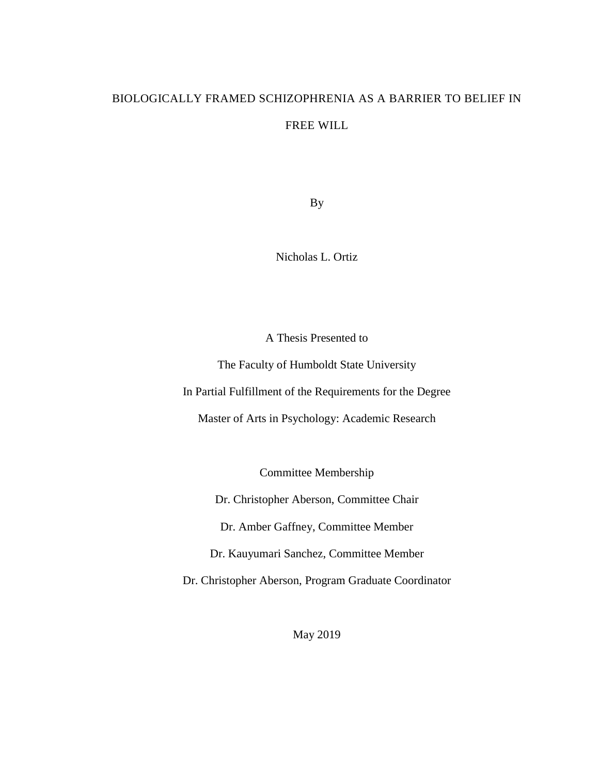# BIOLOGICALLY FRAMED SCHIZOPHRENIA AS A BARRIER TO BELIEF IN FREE WILL

By

Nicholas L. Ortiz

A Thesis Presented to

The Faculty of Humboldt State University In Partial Fulfillment of the Requirements for the Degree

Master of Arts in Psychology: Academic Research

Committee Membership

Dr. Christopher Aberson, Committee Chair

Dr. Amber Gaffney, Committee Member

Dr. Kauyumari Sanchez, Committee Member

Dr. Christopher Aberson, Program Graduate Coordinator

May 2019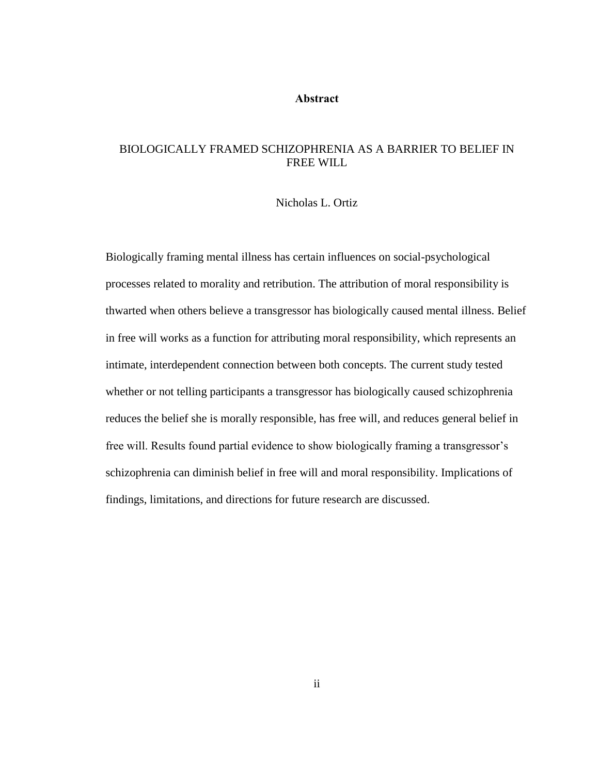#### **Abstract**

## <span id="page-1-0"></span>BIOLOGICALLY FRAMED SCHIZOPHRENIA AS A BARRIER TO BELIEF IN FREE WILL

#### Nicholas L. Ortiz

Biologically framing mental illness has certain influences on social-psychological processes related to morality and retribution. The attribution of moral responsibility is thwarted when others believe a transgressor has biologically caused mental illness. Belief in free will works as a function for attributing moral responsibility, which represents an intimate, interdependent connection between both concepts. The current study tested whether or not telling participants a transgressor has biologically caused schizophrenia reduces the belief she is morally responsible, has free will, and reduces general belief in free will. Results found partial evidence to show biologically framing a transgressor's schizophrenia can diminish belief in free will and moral responsibility. Implications of findings, limitations, and directions for future research are discussed.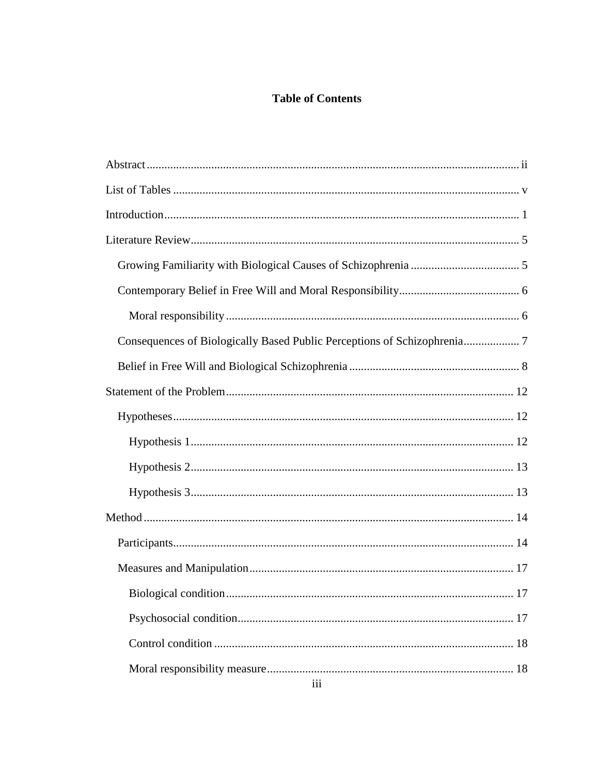# **Table of Contents**

| Consequences of Biologically Based Public Perceptions of Schizophrenia 7 |
|--------------------------------------------------------------------------|
|                                                                          |
|                                                                          |
|                                                                          |
|                                                                          |
|                                                                          |
|                                                                          |
|                                                                          |
|                                                                          |
|                                                                          |
|                                                                          |
|                                                                          |
|                                                                          |
|                                                                          |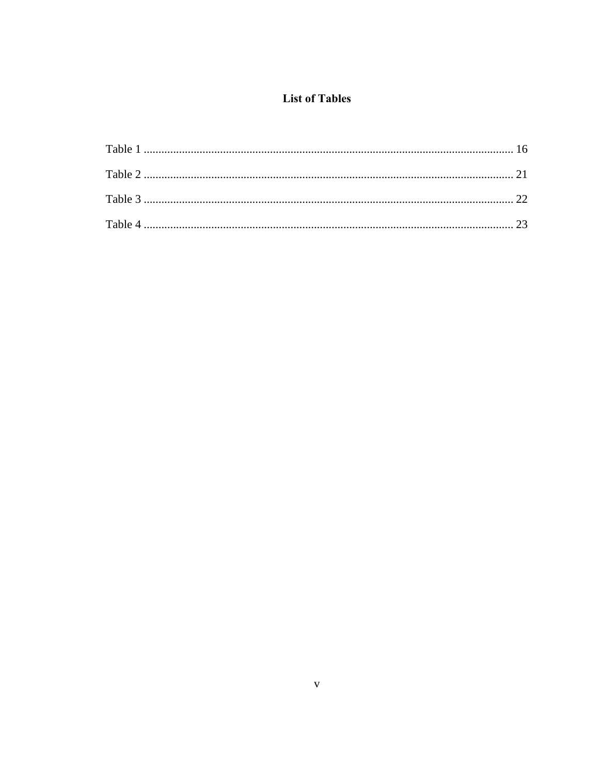# **List of Tables**

<span id="page-4-0"></span>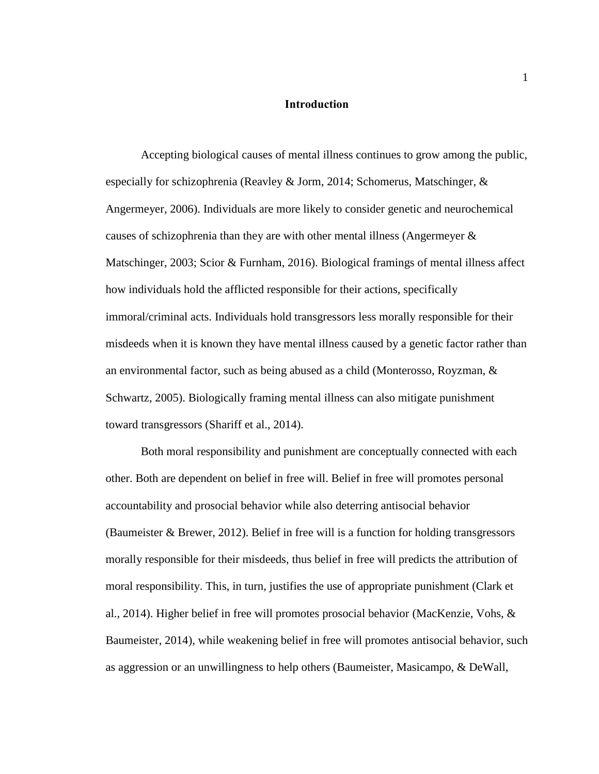#### **Introduction**

<span id="page-5-0"></span>Accepting biological causes of mental illness continues to grow among the public, especially for schizophrenia (Reavley & Jorm, 2014; Schomerus, Matschinger,  $\&$ Angermeyer, 2006). Individuals are more likely to consider genetic and neurochemical causes of schizophrenia than they are with other mental illness (Angermeyer & Matschinger, 2003; Scior & Furnham, 2016). Biological framings of mental illness affect how individuals hold the afflicted responsible for their actions, specifically immoral/criminal acts. Individuals hold transgressors less morally responsible for their misdeeds when it is known they have mental illness caused by a genetic factor rather than an environmental factor, such as being abused as a child (Monterosso, Royzman, & Schwartz, 2005). Biologically framing mental illness can also mitigate punishment toward transgressors (Shariff et al., 2014).

Both moral responsibility and punishment are conceptually connected with each other. Both are dependent on belief in free will. Belief in free will promotes personal accountability and prosocial behavior while also deterring antisocial behavior (Baumeister & Brewer, 2012). Belief in free will is a function for holding transgressors morally responsible for their misdeeds, thus belief in free will predicts the attribution of moral responsibility. This, in turn, justifies the use of appropriate punishment (Clark et al., 2014). Higher belief in free will promotes prosocial behavior (MacKenzie, Vohs,  $\&$ Baumeister, 2014), while weakening belief in free will promotes antisocial behavior, such as aggression or an unwillingness to help others (Baumeister, Masicampo, & DeWall,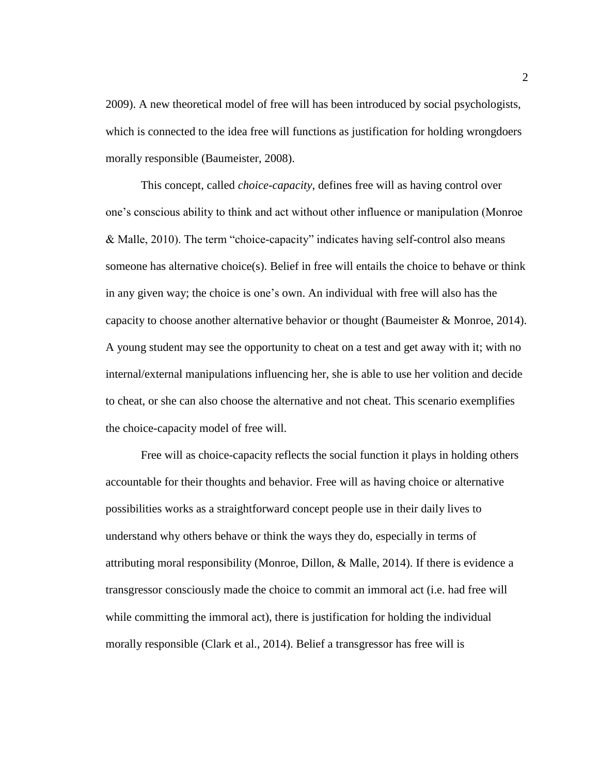2009). A new theoretical model of free will has been introduced by social psychologists, which is connected to the idea free will functions as justification for holding wrongdoers morally responsible (Baumeister, 2008).

This concept, called *choice-capacity*, defines free will as having control over one's conscious ability to think and act without other influence or manipulation (Monroe & Malle, 2010). The term "choice-capacity" indicates having self-control also means someone has alternative choice(s). Belief in free will entails the choice to behave or think in any given way; the choice is one's own. An individual with free will also has the capacity to choose another alternative behavior or thought (Baumeister & Monroe, 2014). A young student may see the opportunity to cheat on a test and get away with it; with no internal/external manipulations influencing her, she is able to use her volition and decide to cheat, or she can also choose the alternative and not cheat. This scenario exemplifies the choice-capacity model of free will.

Free will as choice-capacity reflects the social function it plays in holding others accountable for their thoughts and behavior. Free will as having choice or alternative possibilities works as a straightforward concept people use in their daily lives to understand why others behave or think the ways they do, especially in terms of attributing moral responsibility (Monroe, Dillon, & Malle, 2014). If there is evidence a transgressor consciously made the choice to commit an immoral act (i.e. had free will while committing the immoral act), there is justification for holding the individual morally responsible (Clark et al., 2014). Belief a transgressor has free will is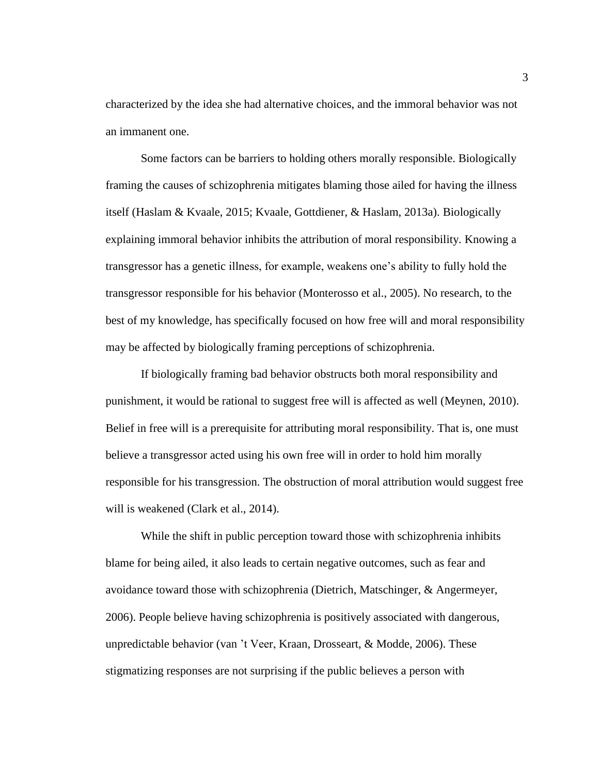characterized by the idea she had alternative choices, and the immoral behavior was not an immanent one.

Some factors can be barriers to holding others morally responsible. Biologically framing the causes of schizophrenia mitigates blaming those ailed for having the illness itself (Haslam & Kvaale, 2015; Kvaale, Gottdiener, & Haslam, 2013a). Biologically explaining immoral behavior inhibits the attribution of moral responsibility. Knowing a transgressor has a genetic illness, for example, weakens one's ability to fully hold the transgressor responsible for his behavior (Monterosso et al., 2005). No research, to the best of my knowledge, has specifically focused on how free will and moral responsibility may be affected by biologically framing perceptions of schizophrenia.

If biologically framing bad behavior obstructs both moral responsibility and punishment, it would be rational to suggest free will is affected as well (Meynen, 2010). Belief in free will is a prerequisite for attributing moral responsibility. That is, one must believe a transgressor acted using his own free will in order to hold him morally responsible for his transgression. The obstruction of moral attribution would suggest free will is weakened (Clark et al., 2014).

While the shift in public perception toward those with schizophrenia inhibits blame for being ailed, it also leads to certain negative outcomes, such as fear and avoidance toward those with schizophrenia (Dietrich, Matschinger, & Angermeyer, 2006). People believe having schizophrenia is positively associated with dangerous, unpredictable behavior (van 't Veer, Kraan, Drosseart, & Modde, 2006). These stigmatizing responses are not surprising if the public believes a person with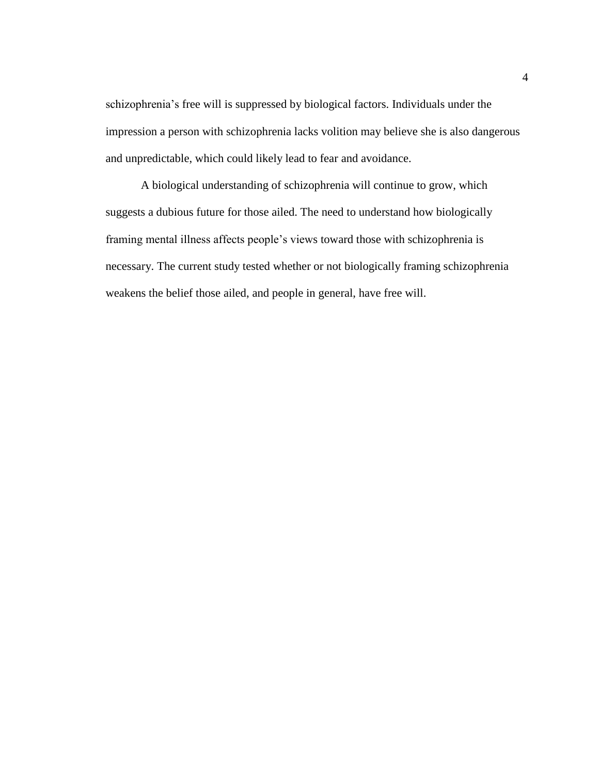schizophrenia's free will is suppressed by biological factors. Individuals under the impression a person with schizophrenia lacks volition may believe she is also dangerous and unpredictable, which could likely lead to fear and avoidance.

A biological understanding of schizophrenia will continue to grow, which suggests a dubious future for those ailed. The need to understand how biologically framing mental illness affects people's views toward those with schizophrenia is necessary. The current study tested whether or not biologically framing schizophrenia weakens the belief those ailed, and people in general, have free will.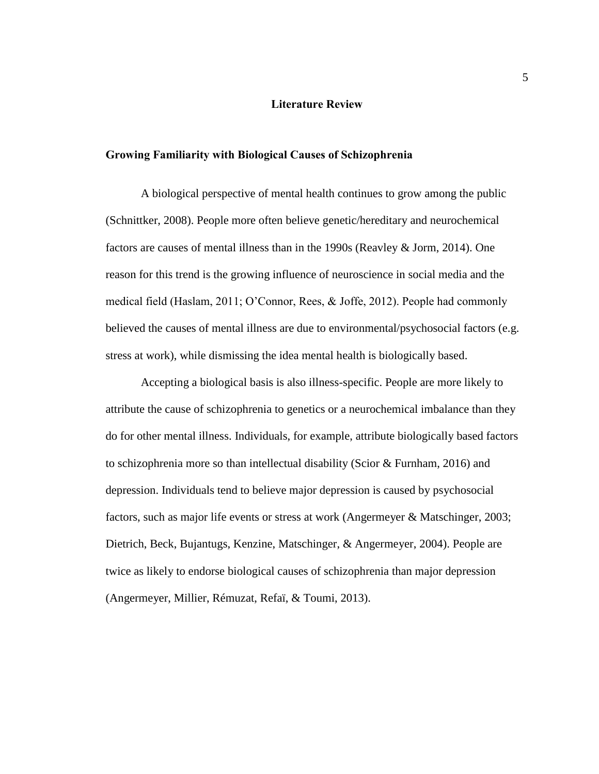#### **Literature Review**

### <span id="page-9-1"></span><span id="page-9-0"></span>**Growing Familiarity with Biological Causes of Schizophrenia**

A biological perspective of mental health continues to grow among the public (Schnittker, 2008). People more often believe genetic/hereditary and neurochemical factors are causes of mental illness than in the 1990s (Reavley & Jorm, 2014). One reason for this trend is the growing influence of neuroscience in social media and the medical field (Haslam, 2011; O'Connor, Rees, & Joffe, 2012). People had commonly believed the causes of mental illness are due to environmental/psychosocial factors (e.g. stress at work), while dismissing the idea mental health is biologically based.

Accepting a biological basis is also illness-specific. People are more likely to attribute the cause of schizophrenia to genetics or a neurochemical imbalance than they do for other mental illness. Individuals, for example, attribute biologically based factors to schizophrenia more so than intellectual disability (Scior & Furnham, 2016) and depression. Individuals tend to believe major depression is caused by psychosocial factors, such as major life events or stress at work (Angermeyer & Matschinger, 2003; Dietrich, Beck, Bujantugs, Kenzine, Matschinger, & Angermeyer, 2004). People are twice as likely to endorse biological causes of schizophrenia than major depression (Angermeyer, Millier, Rémuzat, Refaï, & Toumi, 2013).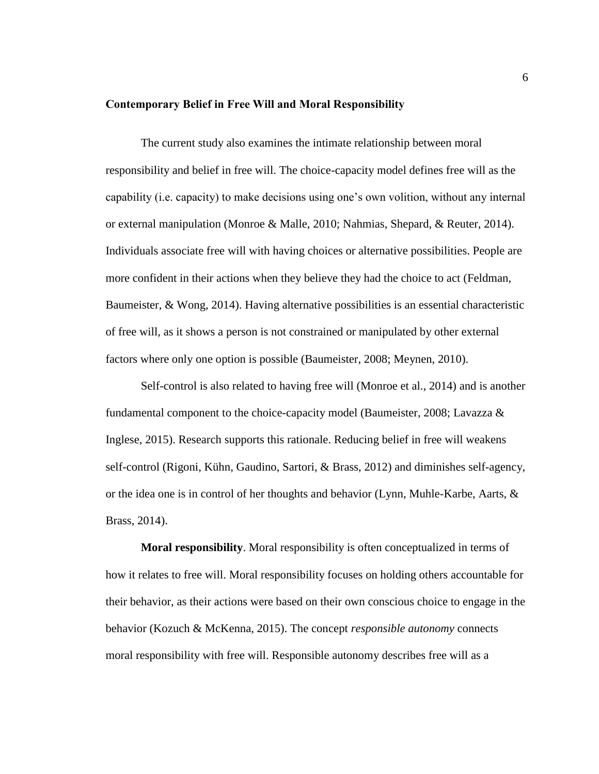#### <span id="page-10-0"></span>**Contemporary Belief in Free Will and Moral Responsibility**

The current study also examines the intimate relationship between moral responsibility and belief in free will. The choice-capacity model defines free will as the capability (i.e. capacity) to make decisions using one's own volition, without any internal or external manipulation (Monroe & Malle, 2010; Nahmias, Shepard, & Reuter, 2014). Individuals associate free will with having choices or alternative possibilities. People are more confident in their actions when they believe they had the choice to act (Feldman, Baumeister, & Wong, 2014). Having alternative possibilities is an essential characteristic of free will, as it shows a person is not constrained or manipulated by other external factors where only one option is possible (Baumeister, 2008; Meynen, 2010).

Self-control is also related to having free will (Monroe et al., 2014) and is another fundamental component to the choice-capacity model (Baumeister, 2008; Lavazza & Inglese, 2015). Research supports this rationale. Reducing belief in free will weakens self-control (Rigoni, Kühn, Gaudino, Sartori, & Brass, 2012) and diminishes self-agency, or the idea one is in control of her thoughts and behavior (Lynn, Muhle-Karbe, Aarts, & Brass, 2014).

<span id="page-10-1"></span>**Moral responsibility**. Moral responsibility is often conceptualized in terms of how it relates to free will. Moral responsibility focuses on holding others accountable for their behavior, as their actions were based on their own conscious choice to engage in the behavior (Kozuch & McKenna, 2015). The concept *responsible autonomy* connects moral responsibility with free will. Responsible autonomy describes free will as a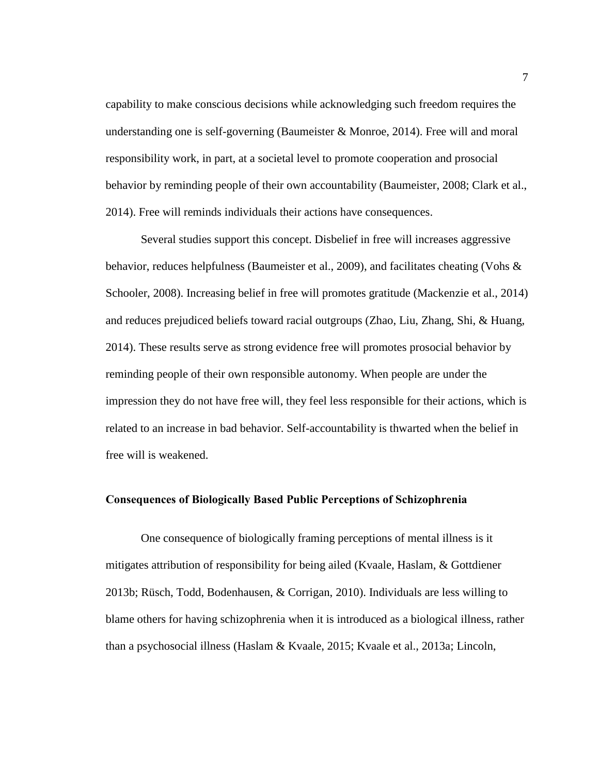capability to make conscious decisions while acknowledging such freedom requires the understanding one is self-governing (Baumeister & Monroe, 2014). Free will and moral responsibility work, in part, at a societal level to promote cooperation and prosocial behavior by reminding people of their own accountability (Baumeister, 2008; Clark et al., 2014). Free will reminds individuals their actions have consequences.

Several studies support this concept. Disbelief in free will increases aggressive behavior, reduces helpfulness (Baumeister et al., 2009), and facilitates cheating (Vohs & Schooler, 2008). Increasing belief in free will promotes gratitude (Mackenzie et al., 2014) and reduces prejudiced beliefs toward racial outgroups (Zhao, Liu, Zhang, Shi, & Huang, 2014). These results serve as strong evidence free will promotes prosocial behavior by reminding people of their own responsible autonomy. When people are under the impression they do not have free will, they feel less responsible for their actions, which is related to an increase in bad behavior. Self-accountability is thwarted when the belief in free will is weakened.

### <span id="page-11-0"></span>**Consequences of Biologically Based Public Perceptions of Schizophrenia**

One consequence of biologically framing perceptions of mental illness is it mitigates attribution of responsibility for being ailed (Kvaale, Haslam, & Gottdiener 2013b; Rüsch, Todd, Bodenhausen, & Corrigan, 2010). Individuals are less willing to blame others for having schizophrenia when it is introduced as a biological illness, rather than a psychosocial illness (Haslam & Kvaale, 2015; Kvaale et al., 2013a; Lincoln,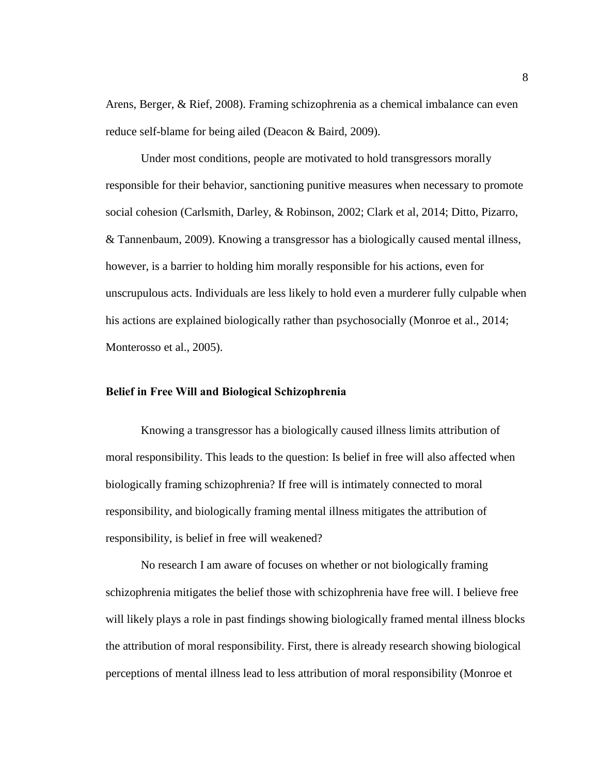Arens, Berger, & Rief, 2008). Framing schizophrenia as a chemical imbalance can even reduce self-blame for being ailed (Deacon & Baird, 2009).

Under most conditions, people are motivated to hold transgressors morally responsible for their behavior, sanctioning punitive measures when necessary to promote social cohesion (Carlsmith, Darley, & Robinson, 2002; Clark et al, 2014; Ditto, Pizarro, & Tannenbaum, 2009). Knowing a transgressor has a biologically caused mental illness, however, is a barrier to holding him morally responsible for his actions, even for unscrupulous acts. Individuals are less likely to hold even a murderer fully culpable when his actions are explained biologically rather than psychosocially (Monroe et al., 2014; Monterosso et al., 2005).

### <span id="page-12-0"></span>**Belief in Free Will and Biological Schizophrenia**

Knowing a transgressor has a biologically caused illness limits attribution of moral responsibility. This leads to the question: Is belief in free will also affected when biologically framing schizophrenia? If free will is intimately connected to moral responsibility, and biologically framing mental illness mitigates the attribution of responsibility, is belief in free will weakened?

No research I am aware of focuses on whether or not biologically framing schizophrenia mitigates the belief those with schizophrenia have free will. I believe free will likely plays a role in past findings showing biologically framed mental illness blocks the attribution of moral responsibility. First, there is already research showing biological perceptions of mental illness lead to less attribution of moral responsibility (Monroe et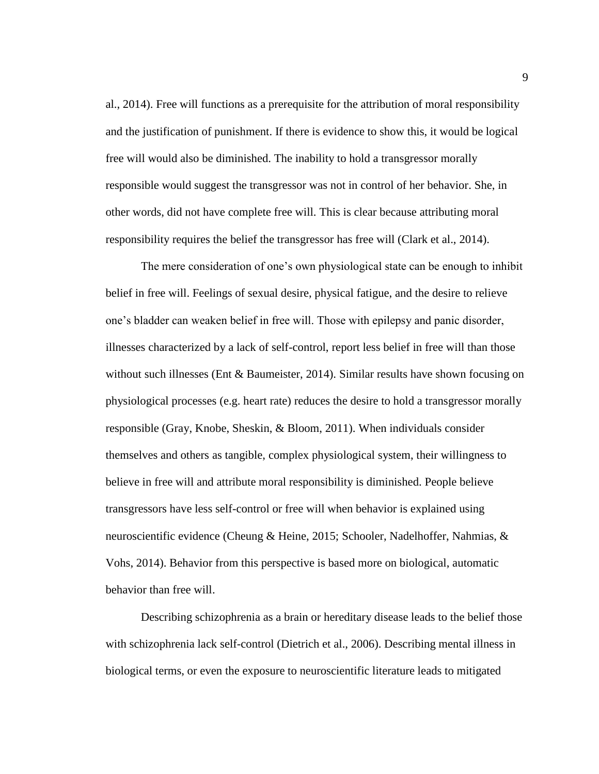al., 2014). Free will functions as a prerequisite for the attribution of moral responsibility and the justification of punishment. If there is evidence to show this, it would be logical free will would also be diminished. The inability to hold a transgressor morally responsible would suggest the transgressor was not in control of her behavior. She, in other words, did not have complete free will. This is clear because attributing moral responsibility requires the belief the transgressor has free will (Clark et al., 2014).

The mere consideration of one's own physiological state can be enough to inhibit belief in free will. Feelings of sexual desire, physical fatigue, and the desire to relieve one's bladder can weaken belief in free will. Those with epilepsy and panic disorder, illnesses characterized by a lack of self-control, report less belief in free will than those without such illnesses (Ent & Baumeister, 2014). Similar results have shown focusing on physiological processes (e.g. heart rate) reduces the desire to hold a transgressor morally responsible (Gray, Knobe, Sheskin, & Bloom, 2011). When individuals consider themselves and others as tangible, complex physiological system, their willingness to believe in free will and attribute moral responsibility is diminished. People believe transgressors have less self-control or free will when behavior is explained using neuroscientific evidence (Cheung & Heine, 2015; Schooler, Nadelhoffer, Nahmias, & Vohs, 2014). Behavior from this perspective is based more on biological, automatic behavior than free will.

Describing schizophrenia as a brain or hereditary disease leads to the belief those with schizophrenia lack self-control (Dietrich et al., 2006). Describing mental illness in biological terms, or even the exposure to neuroscientific literature leads to mitigated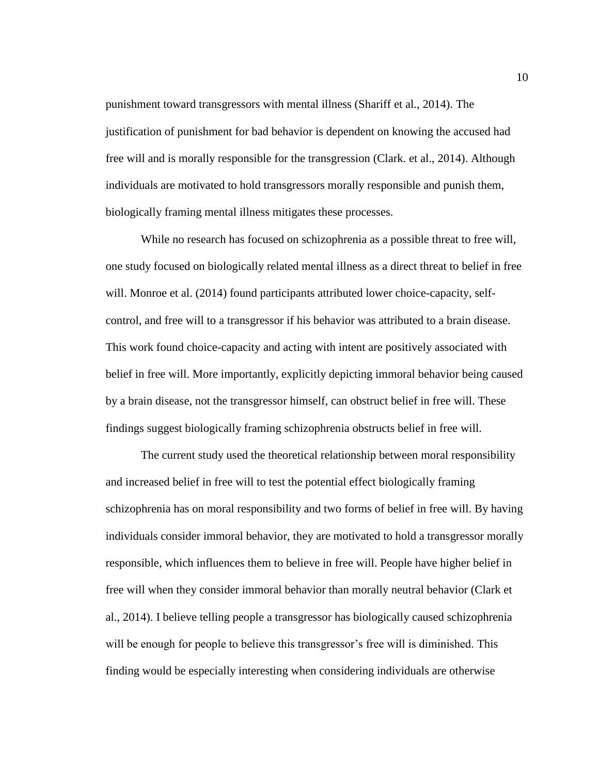punishment toward transgressors with mental illness (Shariff et al., 2014). The justification of punishment for bad behavior is dependent on knowing the accused had free will and is morally responsible for the transgression (Clark. et al., 2014). Although individuals are motivated to hold transgressors morally responsible and punish them, biologically framing mental illness mitigates these processes.

While no research has focused on schizophrenia as a possible threat to free will, one study focused on biologically related mental illness as a direct threat to belief in free will. Monroe et al. (2014) found participants attributed lower choice-capacity, selfcontrol, and free will to a transgressor if his behavior was attributed to a brain disease. This work found choice-capacity and acting with intent are positively associated with belief in free will. More importantly, explicitly depicting immoral behavior being caused by a brain disease, not the transgressor himself, can obstruct belief in free will. These findings suggest biologically framing schizophrenia obstructs belief in free will.

The current study used the theoretical relationship between moral responsibility and increased belief in free will to test the potential effect biologically framing schizophrenia has on moral responsibility and two forms of belief in free will. By having individuals consider immoral behavior, they are motivated to hold a transgressor morally responsible, which influences them to believe in free will. People have higher belief in free will when they consider immoral behavior than morally neutral behavior (Clark et al., 2014). I believe telling people a transgressor has biologically caused schizophrenia will be enough for people to believe this transgressor's free will is diminished. This finding would be especially interesting when considering individuals are otherwise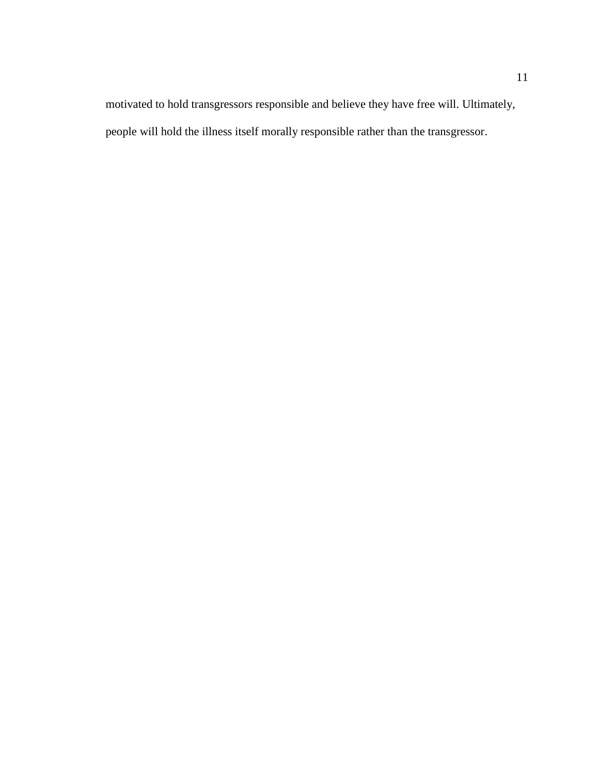motivated to hold transgressors responsible and believe they have free will. Ultimately, people will hold the illness itself morally responsible rather than the transgressor.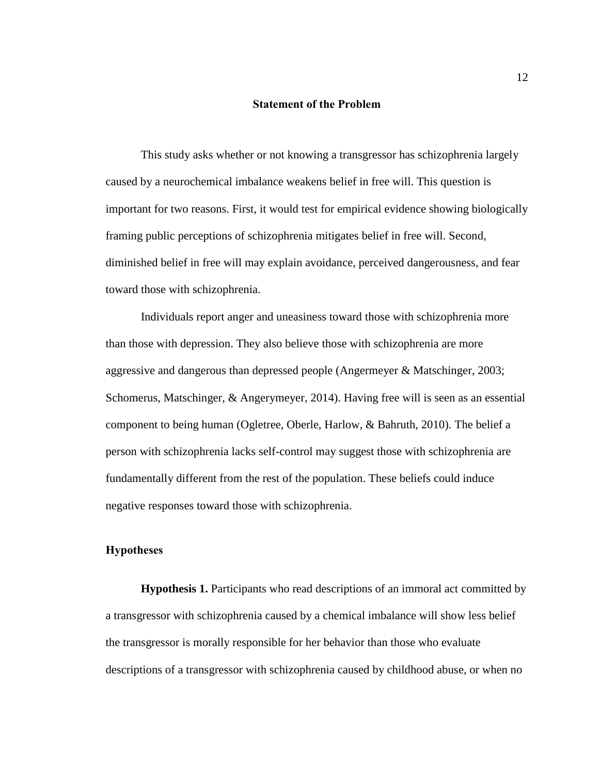#### **Statement of the Problem**

<span id="page-16-0"></span>This study asks whether or not knowing a transgressor has schizophrenia largely caused by a neurochemical imbalance weakens belief in free will. This question is important for two reasons. First, it would test for empirical evidence showing biologically framing public perceptions of schizophrenia mitigates belief in free will. Second, diminished belief in free will may explain avoidance, perceived dangerousness, and fear toward those with schizophrenia.

Individuals report anger and uneasiness toward those with schizophrenia more than those with depression. They also believe those with schizophrenia are more aggressive and dangerous than depressed people (Angermeyer & Matschinger, 2003; Schomerus, Matschinger, & Angerymeyer, 2014). Having free will is seen as an essential component to being human (Ogletree, Oberle, Harlow, & Bahruth, 2010). The belief a person with schizophrenia lacks self-control may suggest those with schizophrenia are fundamentally different from the rest of the population. These beliefs could induce negative responses toward those with schizophrenia.

### <span id="page-16-1"></span>**Hypotheses**

<span id="page-16-2"></span>**Hypothesis 1.** Participants who read descriptions of an immoral act committed by a transgressor with schizophrenia caused by a chemical imbalance will show less belief the transgressor is morally responsible for her behavior than those who evaluate descriptions of a transgressor with schizophrenia caused by childhood abuse, or when no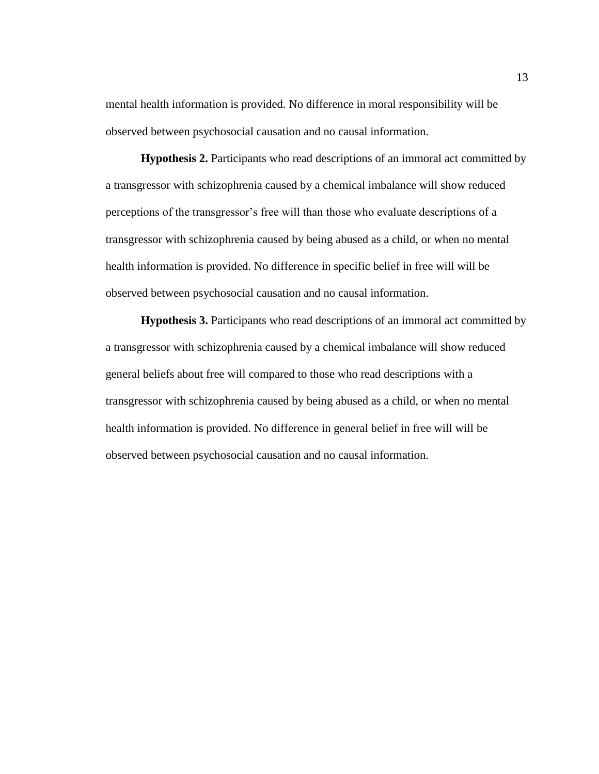mental health information is provided. No difference in moral responsibility will be observed between psychosocial causation and no causal information.

<span id="page-17-0"></span>**Hypothesis 2.** Participants who read descriptions of an immoral act committed by a transgressor with schizophrenia caused by a chemical imbalance will show reduced perceptions of the transgressor's free will than those who evaluate descriptions of a transgressor with schizophrenia caused by being abused as a child, or when no mental health information is provided. No difference in specific belief in free will will be observed between psychosocial causation and no causal information.

<span id="page-17-1"></span>**Hypothesis 3.** Participants who read descriptions of an immoral act committed by a transgressor with schizophrenia caused by a chemical imbalance will show reduced general beliefs about free will compared to those who read descriptions with a transgressor with schizophrenia caused by being abused as a child, or when no mental health information is provided. No difference in general belief in free will will be observed between psychosocial causation and no causal information.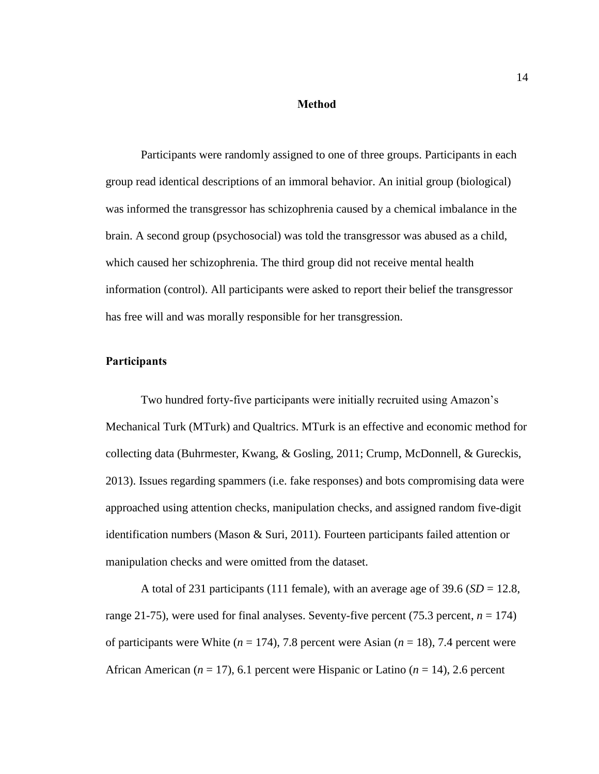#### **Method**

<span id="page-18-0"></span>Participants were randomly assigned to one of three groups. Participants in each group read identical descriptions of an immoral behavior. An initial group (biological) was informed the transgressor has schizophrenia caused by a chemical imbalance in the brain. A second group (psychosocial) was told the transgressor was abused as a child, which caused her schizophrenia. The third group did not receive mental health information (control). All participants were asked to report their belief the transgressor has free will and was morally responsible for her transgression.

### <span id="page-18-1"></span>**Participants**

Two hundred forty-five participants were initially recruited using Amazon's Mechanical Turk (MTurk) and Qualtrics. MTurk is an effective and economic method for collecting data (Buhrmester, Kwang, & Gosling, 2011; Crump, McDonnell, & Gureckis, 2013). Issues regarding spammers (i.e. fake responses) and bots compromising data were approached using attention checks, manipulation checks, and assigned random five-digit identification numbers (Mason & Suri, 2011). Fourteen participants failed attention or manipulation checks and were omitted from the dataset.

A total of 231 participants (111 female), with an average age of  $39.6$  ( $SD = 12.8$ , range 21-75), were used for final analyses. Seventy-five percent (75.3 percent,  $n = 174$ ) of participants were White  $(n = 174)$ , 7.8 percent were Asian  $(n = 18)$ , 7.4 percent were African American ( $n = 17$ ), 6.1 percent were Hispanic or Latino ( $n = 14$ ), 2.6 percent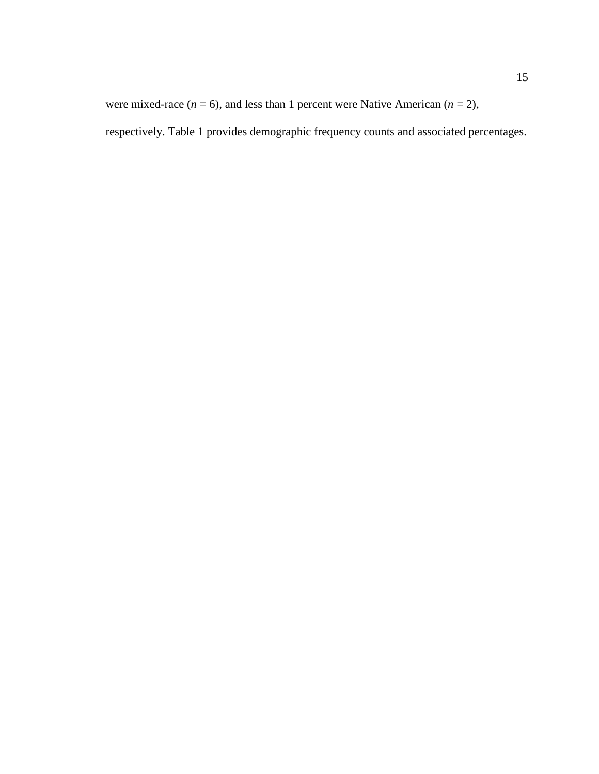were mixed-race  $(n = 6)$ , and less than 1 percent were Native American  $(n = 2)$ , respectively. Table 1 provides demographic frequency counts and associated percentages.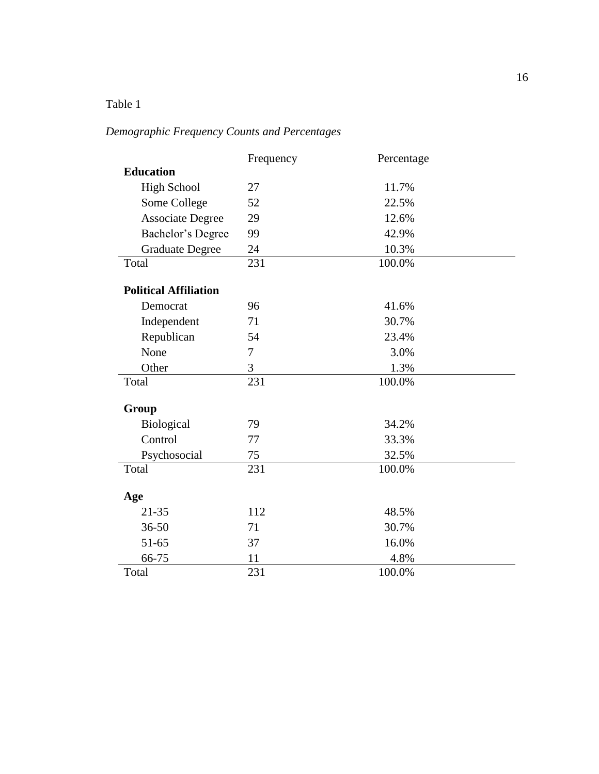# <span id="page-20-0"></span>Table 1

# *Demographic Frequency Counts and Percentages*

|                              | Frequency | Percentage |
|------------------------------|-----------|------------|
| <b>Education</b>             |           |            |
| <b>High School</b>           | 27        | 11.7%      |
| Some College                 | 52        | 22.5%      |
| <b>Associate Degree</b>      | 29        | 12.6%      |
| Bachelor's Degree            | 99        | 42.9%      |
| <b>Graduate Degree</b>       | 24        | 10.3%      |
| Total                        | 231       | 100.0%     |
| <b>Political Affiliation</b> |           |            |
| Democrat                     | 96        | 41.6%      |
| Independent                  | 71        | 30.7%      |
| Republican                   | 54        | 23.4%      |
| None                         | 7         | 3.0%       |
| Other                        | 3         | 1.3%       |
| Total                        | 231       | 100.0%     |
|                              |           |            |
| Group                        |           |            |
| Biological                   | 79        | 34.2%      |
| Control                      | 77        | 33.3%      |
| Psychosocial                 | 75        | 32.5%      |
| Total                        | 231       | 100.0%     |
| Age                          |           |            |
| $21 - 35$                    | 112       | 48.5%      |
| $36 - 50$                    | 71        | 30.7%      |
| 51-65                        | 37        | 16.0%      |
| 66-75                        | 11        | 4.8%       |
| Total                        | 231       | 100.0%     |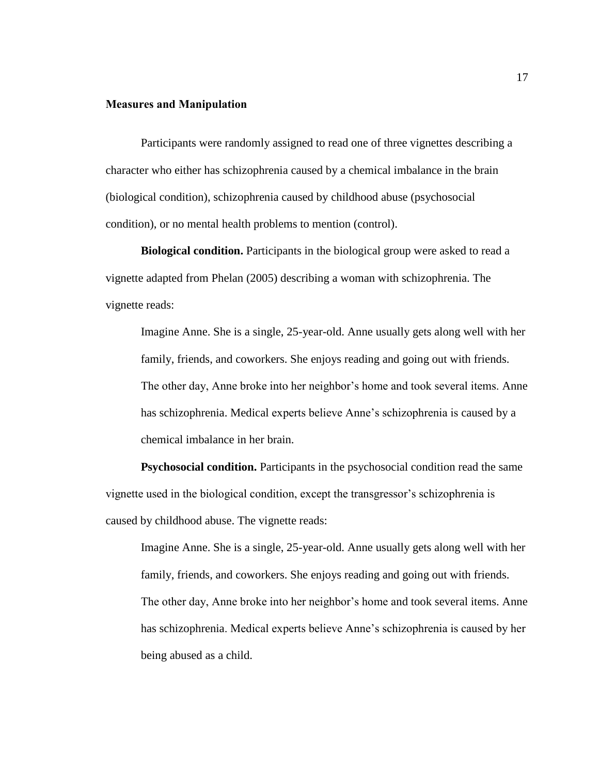### <span id="page-21-0"></span>**Measures and Manipulation**

Participants were randomly assigned to read one of three vignettes describing a character who either has schizophrenia caused by a chemical imbalance in the brain (biological condition), schizophrenia caused by childhood abuse (psychosocial condition), or no mental health problems to mention (control).

<span id="page-21-1"></span>**Biological condition.** Participants in the biological group were asked to read a vignette adapted from Phelan (2005) describing a woman with schizophrenia. The vignette reads:

Imagine Anne. She is a single, 25-year-old. Anne usually gets along well with her family, friends, and coworkers. She enjoys reading and going out with friends. The other day, Anne broke into her neighbor's home and took several items. Anne has schizophrenia. Medical experts believe Anne's schizophrenia is caused by a chemical imbalance in her brain.

<span id="page-21-2"></span>**Psychosocial condition.** Participants in the psychosocial condition read the same vignette used in the biological condition, except the transgressor's schizophrenia is caused by childhood abuse. The vignette reads:

Imagine Anne. She is a single, 25-year-old. Anne usually gets along well with her family, friends, and coworkers. She enjoys reading and going out with friends. The other day, Anne broke into her neighbor's home and took several items. Anne has schizophrenia. Medical experts believe Anne's schizophrenia is caused by her being abused as a child.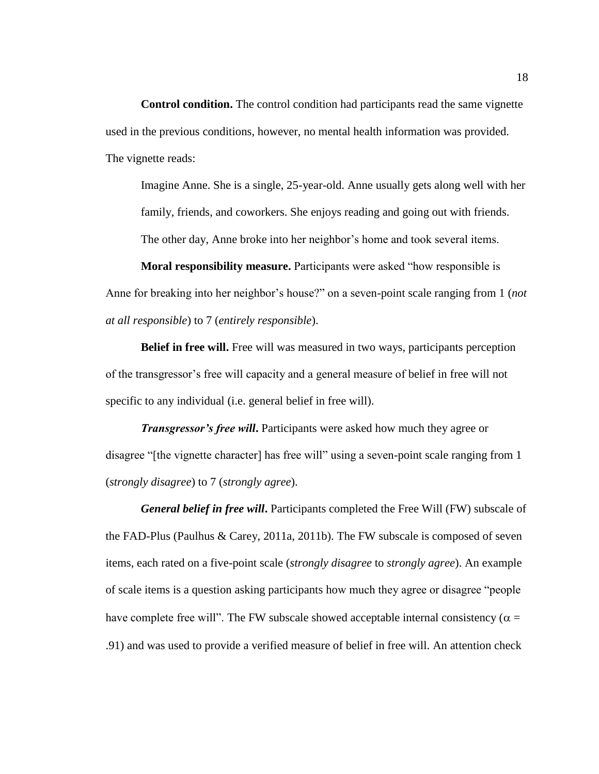<span id="page-22-0"></span>**Control condition.** The control condition had participants read the same vignette used in the previous conditions, however, no mental health information was provided. The vignette reads:

Imagine Anne. She is a single, 25-year-old. Anne usually gets along well with her family, friends, and coworkers. She enjoys reading and going out with friends.

The other day, Anne broke into her neighbor's home and took several items.

<span id="page-22-1"></span>**Moral responsibility measure.** Participants were asked "how responsible is Anne for breaking into her neighbor's house?" on a seven-point scale ranging from 1 (*not at all responsible*) to 7 (*entirely responsible*).

<span id="page-22-2"></span>**Belief in free will.** Free will was measured in two ways, participants perception of the transgressor's free will capacity and a general measure of belief in free will not specific to any individual (i.e. general belief in free will).

*Transgressor's free will***.** Participants were asked how much they agree or disagree "[the vignette character] has free will" using a seven-point scale ranging from 1 (*strongly disagree*) to 7 (*strongly agree*).

*General belief in free will***.** Participants completed the Free Will (FW) subscale of the FAD-Plus (Paulhus & Carey, 2011a, 2011b). The FW subscale is composed of seven items, each rated on a five-point scale (*strongly disagree* to *strongly agree*). An example of scale items is a question asking participants how much they agree or disagree "people have complete free will". The FW subscale showed acceptable internal consistency ( $\alpha$  = .91) and was used to provide a verified measure of belief in free will. An attention check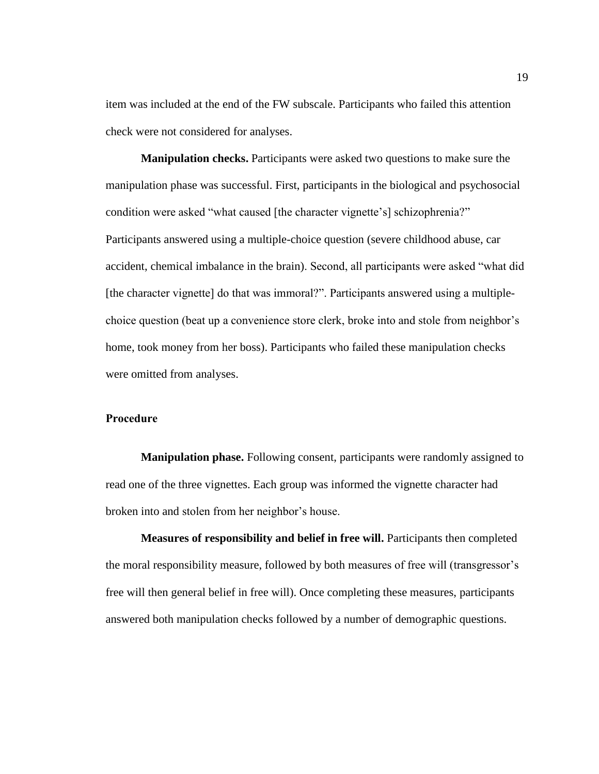item was included at the end of the FW subscale. Participants who failed this attention check were not considered for analyses.

<span id="page-23-0"></span>**Manipulation checks.** Participants were asked two questions to make sure the manipulation phase was successful. First, participants in the biological and psychosocial condition were asked "what caused [the character vignette's] schizophrenia?" Participants answered using a multiple-choice question (severe childhood abuse, car accident, chemical imbalance in the brain). Second, all participants were asked "what did [the character vignette] do that was immoral?". Participants answered using a multiplechoice question (beat up a convenience store clerk, broke into and stole from neighbor's home, took money from her boss). Participants who failed these manipulation checks were omitted from analyses.

## <span id="page-23-1"></span>**Procedure**

<span id="page-23-2"></span>**Manipulation phase.** Following consent, participants were randomly assigned to read one of the three vignettes. Each group was informed the vignette character had broken into and stolen from her neighbor's house.

<span id="page-23-3"></span>**Measures of responsibility and belief in free will.** Participants then completed the moral responsibility measure, followed by both measures of free will (transgressor's free will then general belief in free will). Once completing these measures, participants answered both manipulation checks followed by a number of demographic questions.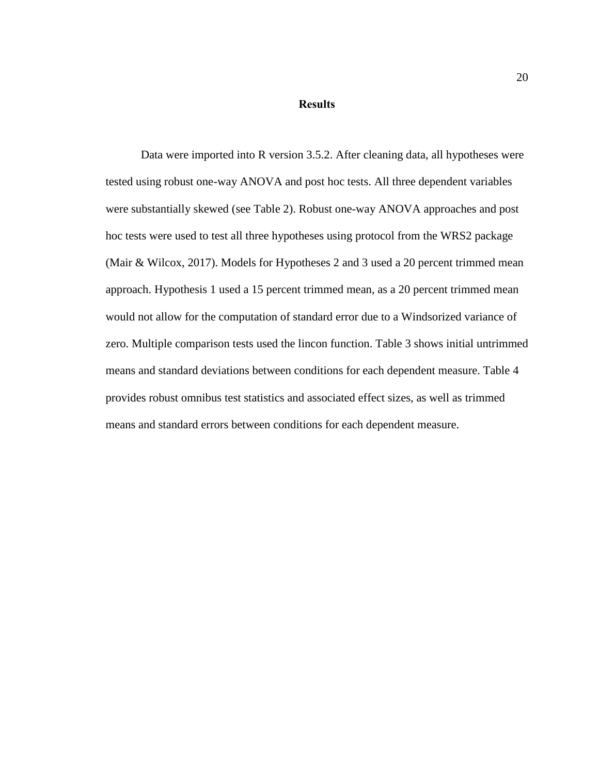#### **Results**

<span id="page-24-0"></span>Data were imported into R version 3.5.2. After cleaning data, all hypotheses were tested using robust one-way ANOVA and post hoc tests. All three dependent variables were substantially skewed (see Table 2). Robust one-way ANOVA approaches and post hoc tests were used to test all three hypotheses using protocol from the WRS2 package (Mair & Wilcox, 2017). Models for Hypotheses 2 and 3 used a 20 percent trimmed mean approach. Hypothesis 1 used a 15 percent trimmed mean, as a 20 percent trimmed mean would not allow for the computation of standard error due to a Windsorized variance of zero. Multiple comparison tests used the lincon function. Table 3 shows initial untrimmed means and standard deviations between conditions for each dependent measure. Table 4 provides robust omnibus test statistics and associated effect sizes, as well as trimmed means and standard errors between conditions for each dependent measure.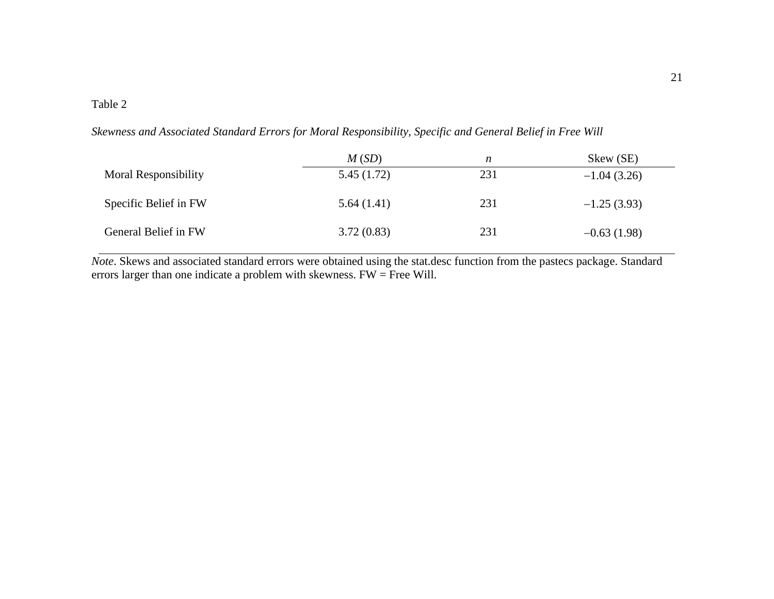# Table 2

*Skewness and Associated Standard Errors for Moral Responsibility, Specific and General Belief in Free Will*

|                             | M(SD)<br>n |     | Skew (SE)     |
|-----------------------------|------------|-----|---------------|
| <b>Moral Responsibility</b> | 5.45(1.72) | 231 | $-1.04(3.26)$ |
| Specific Belief in FW       | 5.64(1.41) | 231 | $-1.25(3.93)$ |
| General Belief in FW        | 3.72(0.83) | 231 | $-0.63(1.98)$ |

<span id="page-25-0"></span>*Note*. Skews and associated standard errors were obtained using the stat.desc function from the pastecs package. Standard errors larger than one indicate a problem with skewness. FW = Free Will.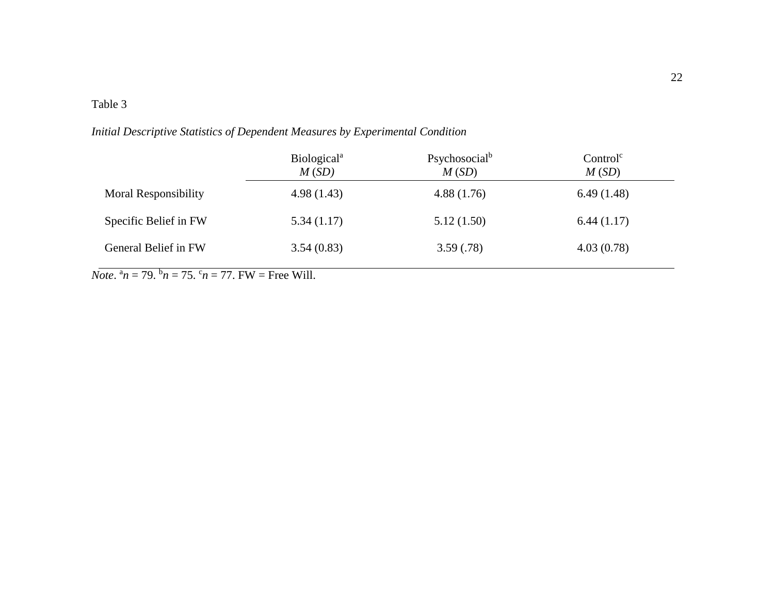# Table 3

*Initial Descriptive Statistics of Dependent Measures by Experimental Condition*

|                             | Biological <sup>a</sup><br>M(SD) | Psychosocial <sup>b</sup><br>M(SD) | Control <sup>c</sup><br>M(SD) |
|-----------------------------|----------------------------------|------------------------------------|-------------------------------|
| <b>Moral Responsibility</b> | 4.98(1.43)                       | 4.88(1.76)                         | 6.49(1.48)                    |
| Specific Belief in FW       | 5.34(1.17)                       | 5.12(1.50)                         | 6.44(1.17)                    |
| General Belief in FW        | 3.54(0.83)                       | 3.59(.78)                          | 4.03(0.78)                    |

<span id="page-26-0"></span> $\overline{Note.}^{\ a}n = 79.^{\ b}n = 75.^{\ c}n = 77.$  FW = Free Will.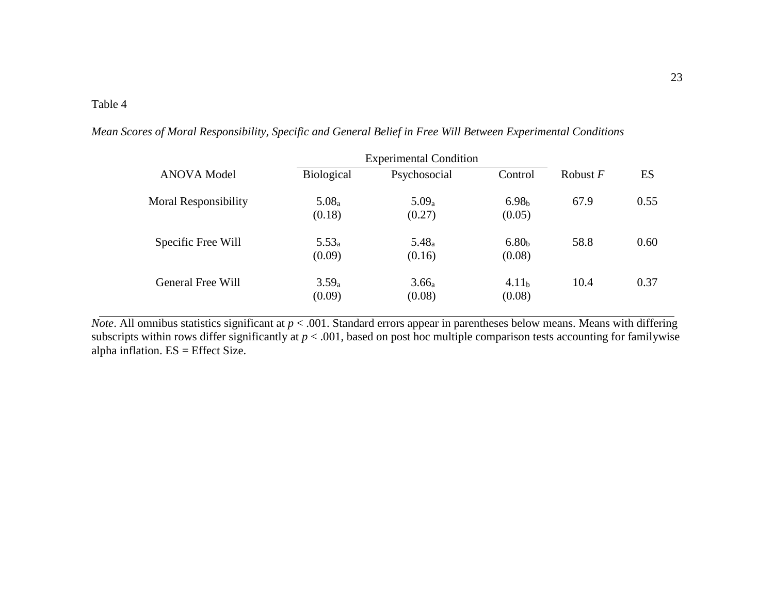*Mean Scores of Moral Responsibility, Specific and General Belief in Free Will Between Experimental Conditions*

|                             |                             | <b>Experimental Condition</b> |                             |            |      |
|-----------------------------|-----------------------------|-------------------------------|-----------------------------|------------|------|
| <b>ANOVA</b> Model          | <b>Biological</b>           | Psychosocial                  | Control                     | Robust $F$ | ES   |
| <b>Moral Responsibility</b> | 5.08 <sub>a</sub><br>(0.18) | $5.09_a$<br>(0.27)            | 6.98 <sub>b</sub><br>(0.05) | 67.9       | 0.55 |
| Specific Free Will          | $5.53_a$<br>(0.09)          | $5.48_a$<br>(0.16)            | 6.80 <sub>b</sub><br>(0.08) | 58.8       | 0.60 |
| General Free Will           | 3.59 <sub>a</sub><br>(0.09) | 3.66 <sub>a</sub><br>(0.08)   | 4.11 <sub>b</sub><br>(0.08) | 10.4       | 0.37 |

<span id="page-27-0"></span>*Note*. All omnibus statistics significant at  $p < .001$ . Standard errors appear in parentheses below means. Means with differing subscripts within rows differ significantly at *p* < .001, based on post hoc multiple comparison tests accounting for familywise alpha inflation. ES = Effect Size.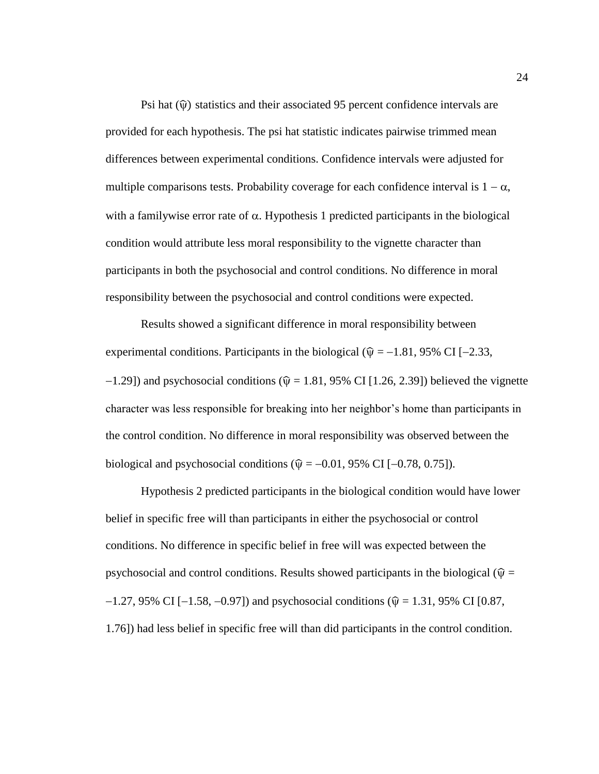Psi hat  $(\hat{\mathbf{v}})$  statistics and their associated 95 percent confidence intervals are provided for each hypothesis. The psi hat statistic indicates pairwise trimmed mean differences between experimental conditions. Confidence intervals were adjusted for multiple comparisons tests. Probability coverage for each confidence interval is  $1 - \alpha$ , with a familywise error rate of  $\alpha$ . Hypothesis 1 predicted participants in the biological condition would attribute less moral responsibility to the vignette character than participants in both the psychosocial and control conditions. No difference in moral responsibility between the psychosocial and control conditions were expected.

Results showed a significant difference in moral responsibility between experimental conditions. Participants in the biological ( $\hat{\psi} = -1.81$ , 95% CI [-2.33,  $-1.29$ ]) and psychosocial conditions ( $\hat{\psi} = 1.81, 95\%$  CI [1.26, 2.39]) believed the vignette character was less responsible for breaking into her neighbor's home than participants in the control condition. No difference in moral responsibility was observed between the biological and psychosocial conditions ( $\hat{\mathbf{v}} = -0.01, 95\%$  CI [−0.78, 0.75]).

Hypothesis 2 predicted participants in the biological condition would have lower belief in specific free will than participants in either the psychosocial or control conditions. No difference in specific belief in free will was expected between the psychosocial and control conditions. Results showed participants in the biological ( $\hat{\psi}$  =  $-1.27$ , 95% CI [ $-1.58$ ,  $-0.97$ ]) and psychosocial conditions ( $\hat{\psi} = 1.31$ , 95% CI [0.87, 1.76]) had less belief in specific free will than did participants in the control condition.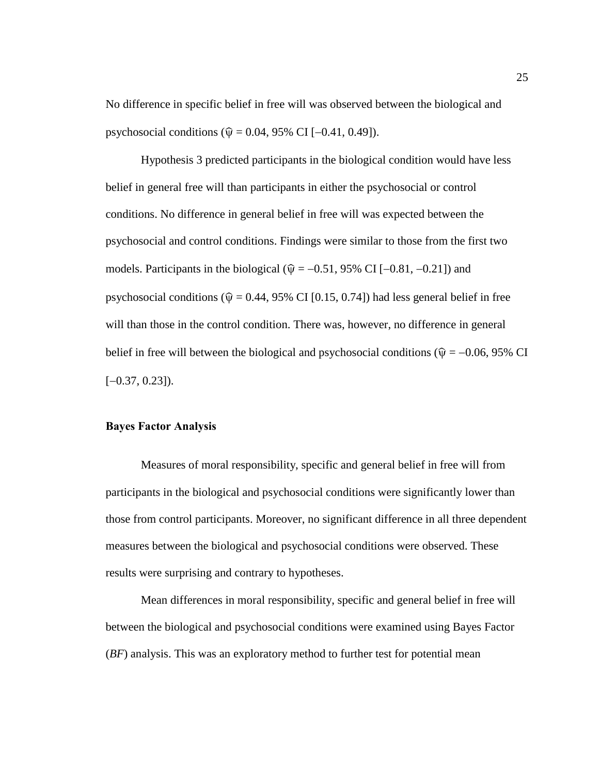No difference in specific belief in free will was observed between the biological and psychosocial conditions ( $\hat{\psi} = 0.04, 95\%$  CI [-0.41, 0.49]).

Hypothesis 3 predicted participants in the biological condition would have less belief in general free will than participants in either the psychosocial or control conditions. No difference in general belief in free will was expected between the psychosocial and control conditions. Findings were similar to those from the first two models. Participants in the biological ( $\hat{\psi} = -0.51$ , 95% CI [-0.81, -0.21]) and psychosocial conditions ( $\hat{\mathbf{v}} = 0.44, 95\%$  CI [0.15, 0.74]) had less general belief in free will than those in the control condition. There was, however, no difference in general belief in free will between the biological and psychosocial conditions ( $\hat{\psi} = -0.06, 95\%$  CI  $[-0.37, 0.23]$ ).

### <span id="page-29-0"></span>**Bayes Factor Analysis**

Measures of moral responsibility, specific and general belief in free will from participants in the biological and psychosocial conditions were significantly lower than those from control participants. Moreover, no significant difference in all three dependent measures between the biological and psychosocial conditions were observed. These results were surprising and contrary to hypotheses.

Mean differences in moral responsibility, specific and general belief in free will between the biological and psychosocial conditions were examined using Bayes Factor (*BF*) analysis. This was an exploratory method to further test for potential mean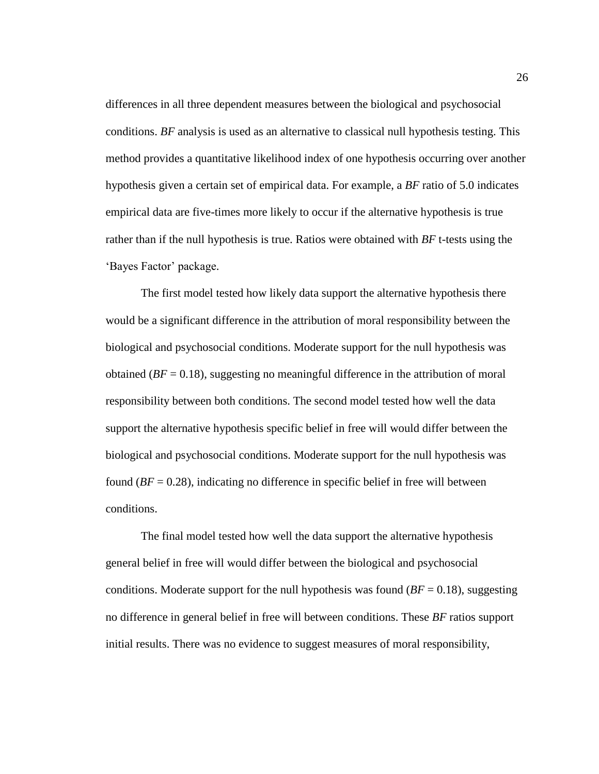differences in all three dependent measures between the biological and psychosocial conditions. *BF* analysis is used as an alternative to classical null hypothesis testing. This method provides a quantitative likelihood index of one hypothesis occurring over another hypothesis given a certain set of empirical data. For example, a *BF* ratio of 5.0 indicates empirical data are five-times more likely to occur if the alternative hypothesis is true rather than if the null hypothesis is true. Ratios were obtained with *BF* t-tests using the 'Bayes Factor' package.

The first model tested how likely data support the alternative hypothesis there would be a significant difference in the attribution of moral responsibility between the biological and psychosocial conditions. Moderate support for the null hypothesis was obtained (*BF* = 0.18), suggesting no meaningful difference in the attribution of moral responsibility between both conditions. The second model tested how well the data support the alternative hypothesis specific belief in free will would differ between the biological and psychosocial conditions. Moderate support for the null hypothesis was found  $(BF = 0.28)$ , indicating no difference in specific belief in free will between conditions.

The final model tested how well the data support the alternative hypothesis general belief in free will would differ between the biological and psychosocial conditions. Moderate support for the null hypothesis was found  $(BF = 0.18)$ , suggesting no difference in general belief in free will between conditions. These *BF* ratios support initial results. There was no evidence to suggest measures of moral responsibility,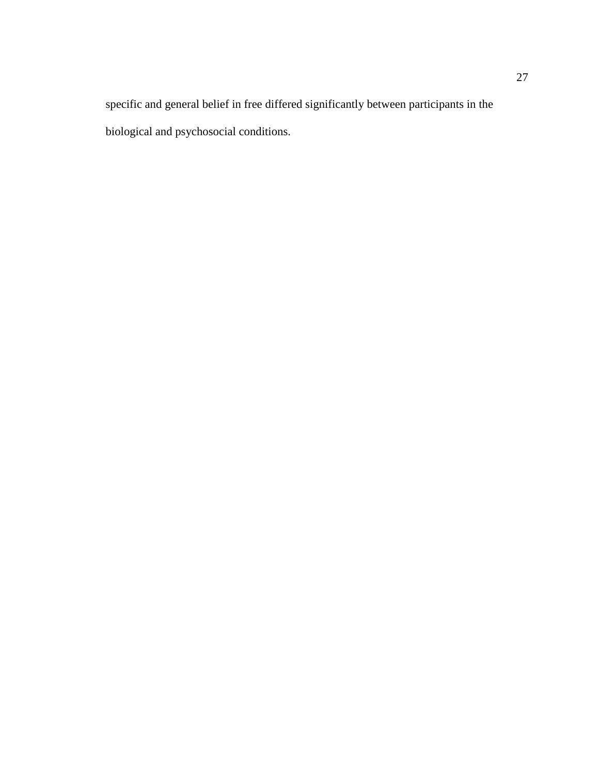specific and general belief in free differed significantly between participants in the biological and psychosocial conditions.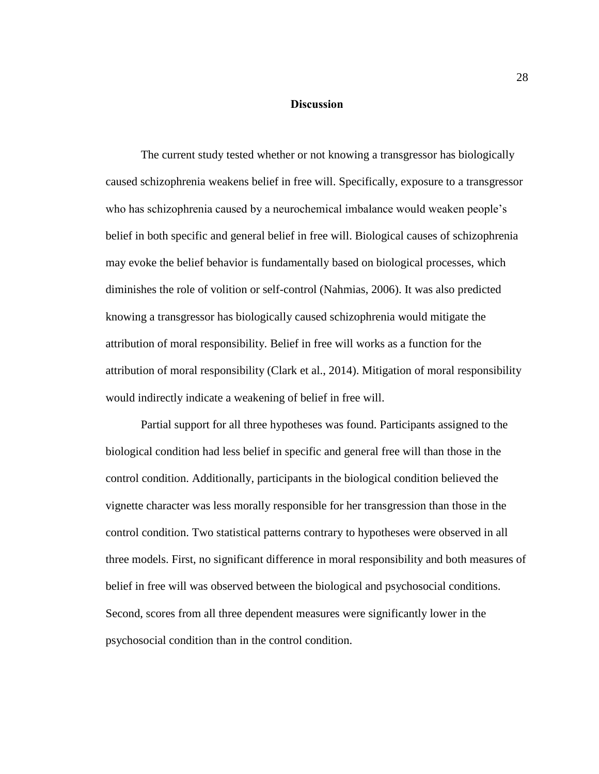### **Discussion**

<span id="page-32-0"></span>The current study tested whether or not knowing a transgressor has biologically caused schizophrenia weakens belief in free will. Specifically, exposure to a transgressor who has schizophrenia caused by a neurochemical imbalance would weaken people's belief in both specific and general belief in free will. Biological causes of schizophrenia may evoke the belief behavior is fundamentally based on biological processes, which diminishes the role of volition or self-control (Nahmias, 2006). It was also predicted knowing a transgressor has biologically caused schizophrenia would mitigate the attribution of moral responsibility. Belief in free will works as a function for the attribution of moral responsibility (Clark et al., 2014). Mitigation of moral responsibility would indirectly indicate a weakening of belief in free will.

Partial support for all three hypotheses was found. Participants assigned to the biological condition had less belief in specific and general free will than those in the control condition. Additionally, participants in the biological condition believed the vignette character was less morally responsible for her transgression than those in the control condition. Two statistical patterns contrary to hypotheses were observed in all three models. First, no significant difference in moral responsibility and both measures of belief in free will was observed between the biological and psychosocial conditions. Second, scores from all three dependent measures were significantly lower in the psychosocial condition than in the control condition.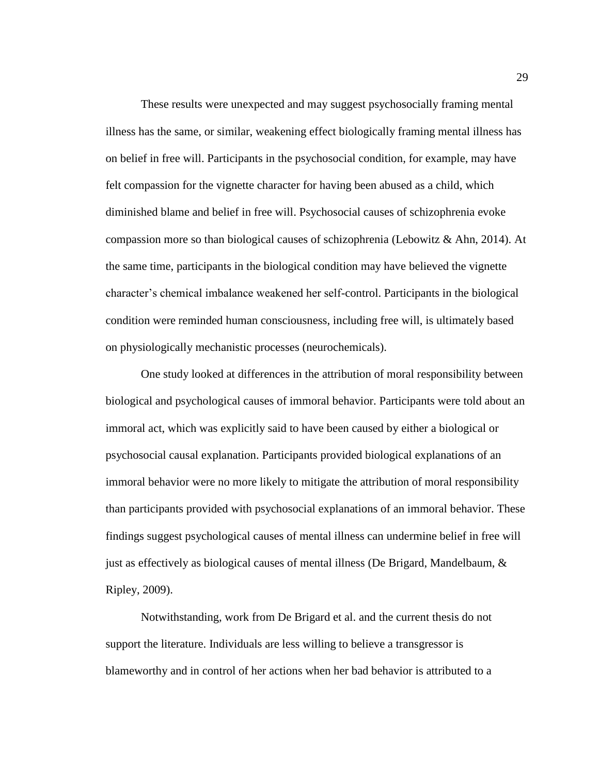These results were unexpected and may suggest psychosocially framing mental illness has the same, or similar, weakening effect biologically framing mental illness has on belief in free will. Participants in the psychosocial condition, for example, may have felt compassion for the vignette character for having been abused as a child, which diminished blame and belief in free will. Psychosocial causes of schizophrenia evoke compassion more so than biological causes of schizophrenia (Lebowitz & Ahn, 2014). At the same time, participants in the biological condition may have believed the vignette character's chemical imbalance weakened her self-control. Participants in the biological condition were reminded human consciousness, including free will, is ultimately based on physiologically mechanistic processes (neurochemicals).

One study looked at differences in the attribution of moral responsibility between biological and psychological causes of immoral behavior. Participants were told about an immoral act, which was explicitly said to have been caused by either a biological or psychosocial causal explanation. Participants provided biological explanations of an immoral behavior were no more likely to mitigate the attribution of moral responsibility than participants provided with psychosocial explanations of an immoral behavior. These findings suggest psychological causes of mental illness can undermine belief in free will just as effectively as biological causes of mental illness (De Brigard, Mandelbaum, & Ripley, 2009).

Notwithstanding, work from De Brigard et al. and the current thesis do not support the literature. Individuals are less willing to believe a transgressor is blameworthy and in control of her actions when her bad behavior is attributed to a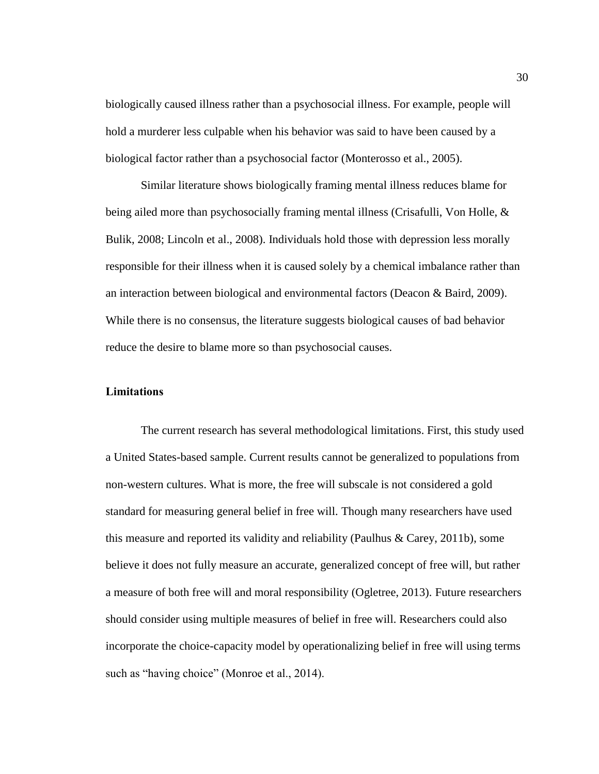biologically caused illness rather than a psychosocial illness. For example, people will hold a murderer less culpable when his behavior was said to have been caused by a biological factor rather than a psychosocial factor (Monterosso et al., 2005).

Similar literature shows biologically framing mental illness reduces blame for being ailed more than psychosocially framing mental illness (Crisafulli, Von Holle, & Bulik, 2008; Lincoln et al., 2008). Individuals hold those with depression less morally responsible for their illness when it is caused solely by a chemical imbalance rather than an interaction between biological and environmental factors (Deacon & Baird, 2009). While there is no consensus, the literature suggests biological causes of bad behavior reduce the desire to blame more so than psychosocial causes.

### <span id="page-34-0"></span>**Limitations**

The current research has several methodological limitations. First, this study used a United States-based sample. Current results cannot be generalized to populations from non-western cultures. What is more, the free will subscale is not considered a gold standard for measuring general belief in free will. Though many researchers have used this measure and reported its validity and reliability (Paulhus & Carey, 2011b), some believe it does not fully measure an accurate, generalized concept of free will, but rather a measure of both free will and moral responsibility (Ogletree, 2013). Future researchers should consider using multiple measures of belief in free will. Researchers could also incorporate the choice-capacity model by operationalizing belief in free will using terms such as "having choice" (Monroe et al., 2014).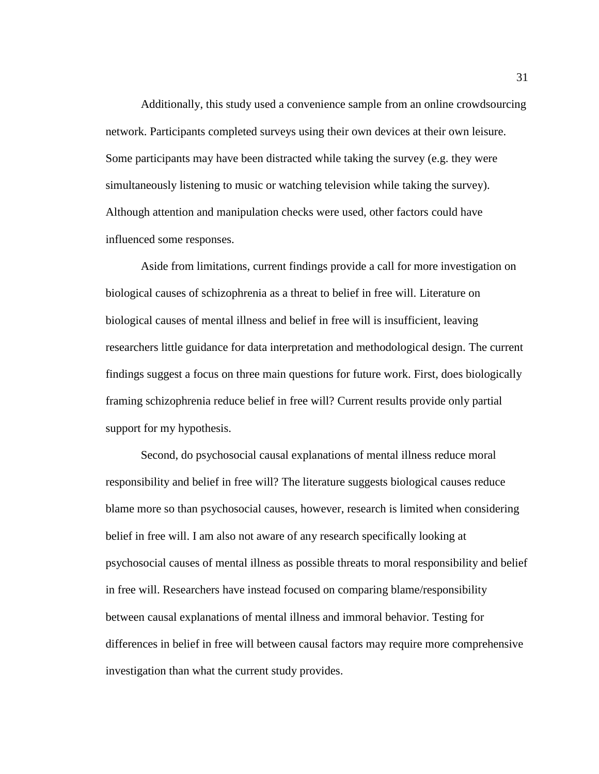Additionally, this study used a convenience sample from an online crowdsourcing network. Participants completed surveys using their own devices at their own leisure. Some participants may have been distracted while taking the survey (e.g. they were simultaneously listening to music or watching television while taking the survey). Although attention and manipulation checks were used, other factors could have influenced some responses.

Aside from limitations, current findings provide a call for more investigation on biological causes of schizophrenia as a threat to belief in free will. Literature on biological causes of mental illness and belief in free will is insufficient, leaving researchers little guidance for data interpretation and methodological design. The current findings suggest a focus on three main questions for future work. First, does biologically framing schizophrenia reduce belief in free will? Current results provide only partial support for my hypothesis.

Second, do psychosocial causal explanations of mental illness reduce moral responsibility and belief in free will? The literature suggests biological causes reduce blame more so than psychosocial causes, however, research is limited when considering belief in free will. I am also not aware of any research specifically looking at psychosocial causes of mental illness as possible threats to moral responsibility and belief in free will. Researchers have instead focused on comparing blame/responsibility between causal explanations of mental illness and immoral behavior. Testing for differences in belief in free will between causal factors may require more comprehensive investigation than what the current study provides.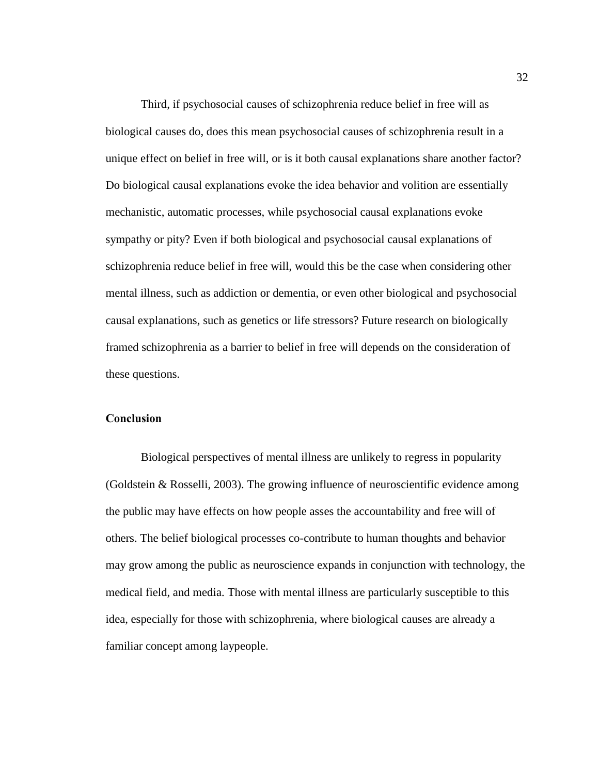Third, if psychosocial causes of schizophrenia reduce belief in free will as biological causes do, does this mean psychosocial causes of schizophrenia result in a unique effect on belief in free will, or is it both causal explanations share another factor? Do biological causal explanations evoke the idea behavior and volition are essentially mechanistic, automatic processes, while psychosocial causal explanations evoke sympathy or pity? Even if both biological and psychosocial causal explanations of schizophrenia reduce belief in free will, would this be the case when considering other mental illness, such as addiction or dementia, or even other biological and psychosocial causal explanations, such as genetics or life stressors? Future research on biologically framed schizophrenia as a barrier to belief in free will depends on the consideration of these questions.

## <span id="page-36-0"></span>**Conclusion**

Biological perspectives of mental illness are unlikely to regress in popularity (Goldstein & Rosselli, 2003). The growing influence of neuroscientific evidence among the public may have effects on how people asses the accountability and free will of others. The belief biological processes co-contribute to human thoughts and behavior may grow among the public as neuroscience expands in conjunction with technology, the medical field, and media. Those with mental illness are particularly susceptible to this idea, especially for those with schizophrenia, where biological causes are already a familiar concept among laypeople.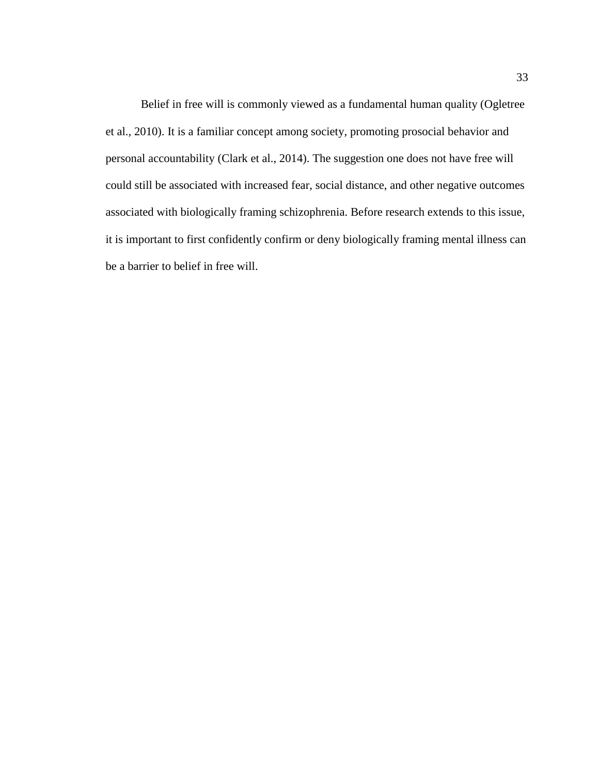Belief in free will is commonly viewed as a fundamental human quality (Ogletree et al., 2010). It is a familiar concept among society, promoting prosocial behavior and personal accountability (Clark et al., 2014). The suggestion one does not have free will could still be associated with increased fear, social distance, and other negative outcomes associated with biologically framing schizophrenia. Before research extends to this issue, it is important to first confidently confirm or deny biologically framing mental illness can be a barrier to belief in free will.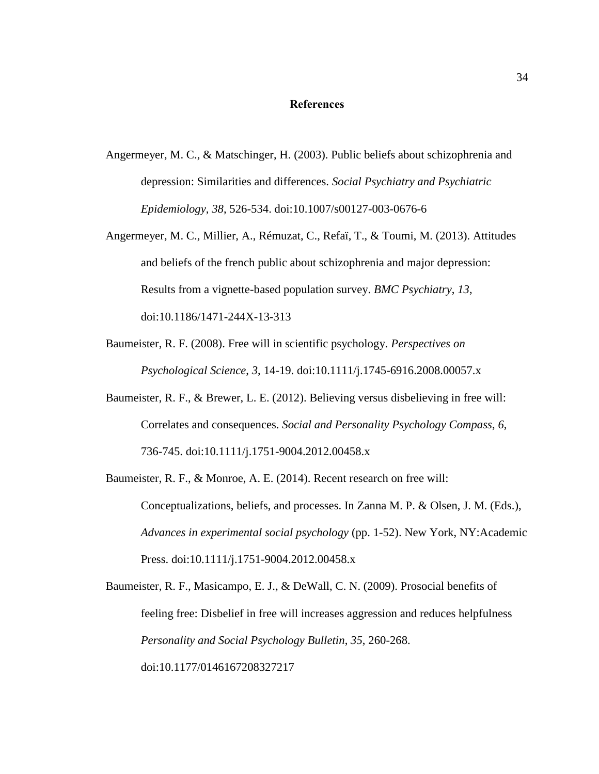### **References**

- <span id="page-38-0"></span>Angermeyer, M. C., & Matschinger, H. (2003). Public beliefs about schizophrenia and depression: Similarities and differences. *Social Psychiatry and Psychiatric Epidemiology*, *38*, 526-534. doi:10.1007/s00127-003-0676-6
- Angermeyer, M. C., Millier, A., Rémuzat, C., Refaï, T., & Toumi, M. (2013). Attitudes and beliefs of the french public about schizophrenia and major depression: Results from a vignette-based population survey. *BMC Psychiatry*, *13*, doi:10.1186/1471-244X-13-313
- Baumeister, R. F. (2008). Free will in scientific psychology. *Perspectives on Psychological Science*, *3*, 14-19. doi:10.1111/j.1745-6916.2008.00057.x
- Baumeister, R. F., & Brewer, L. E. (2012). Believing versus disbelieving in free will: Correlates and consequences. *Social and Personality Psychology Compass*, *6*, 736-745. doi:10.1111/j.1751-9004.2012.00458.x
- Baumeister, R. F., & Monroe, A. E. (2014). Recent research on free will: Conceptualizations, beliefs, and processes. In Zanna M. P. & Olsen, J. M. (Eds.), *Advances in experimental social psychology* (pp. 1-52). New York, NY:Academic Press. doi:10.1111/j.1751-9004.2012.00458.x

Baumeister, R. F., Masicampo, E. J., & DeWall, C. N. (2009). Prosocial benefits of feeling free: Disbelief in free will increases aggression and reduces helpfulness *Personality and Social Psychology Bulletin*, *35*, 260-268. doi:10.1177/0146167208327217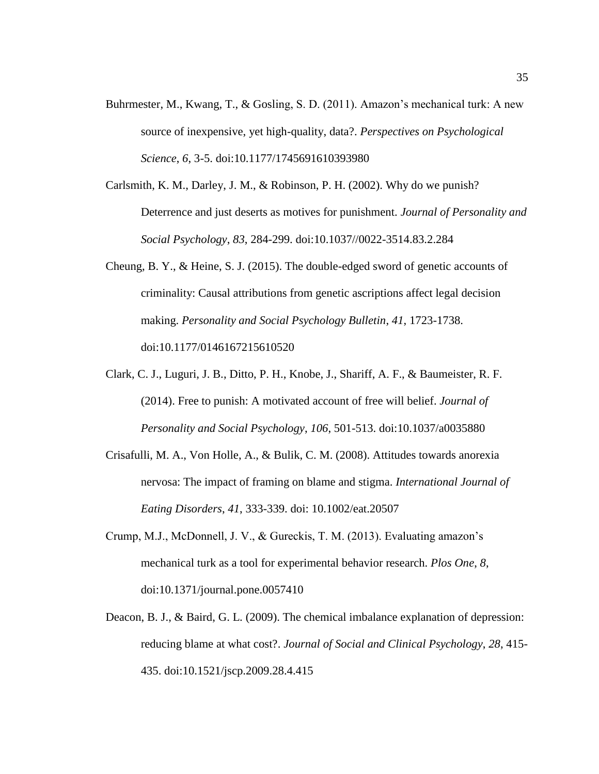- Buhrmester, M., Kwang, T., & Gosling, S. D. (2011). Amazon's mechanical turk: A new source of inexpensive, yet high-quality, data?. *Perspectives on Psychological Science*, *6*, 3-5. doi:10.1177/1745691610393980
- Carlsmith, K. M., Darley, J. M., & Robinson, P. H. (2002). Why do we punish? Deterrence and just deserts as motives for punishment. *Journal of Personality and Social Psychology*, *83*, 284-299. doi:10.1037//0022-3514.83.2.284
- Cheung, B. Y., & Heine, S. J. (2015). The double-edged sword of genetic accounts of criminality: Causal attributions from genetic ascriptions affect legal decision making. *Personality and Social Psychology Bulletin*, *41*, 1723-1738. doi:10.1177/0146167215610520
- Clark, C. J., Luguri, J. B., Ditto, P. H., Knobe, J., Shariff, A. F., & Baumeister, R. F. (2014). Free to punish: A motivated account of free will belief. *Journal of Personality and Social Psychology*, *106*, 501-513. doi:10.1037/a0035880
- Crisafulli, M. A., Von Holle, A., & Bulik, C. M. (2008). Attitudes towards anorexia nervosa: The impact of framing on blame and stigma. *International Journal of Eating Disorders*, *41*, 333-339. doi: 10.1002/eat.20507
- Crump, M.J., McDonnell, J. V., & Gureckis, T. M. (2013). Evaluating amazon's mechanical turk as a tool for experimental behavior research. *Plos One*, *8*, doi:10.1371/journal.pone.0057410
- Deacon, B. J., & Baird, G. L. (2009). The chemical imbalance explanation of depression: reducing blame at what cost?. *Journal of Social and Clinical Psychology*, *28*, 415- 435. doi:10.1521/jscp.2009.28.4.415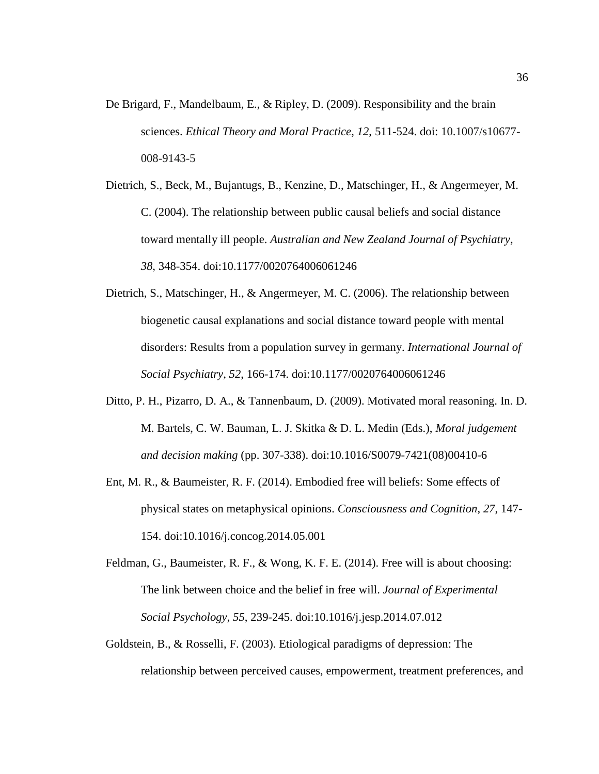De Brigard, F., Mandelbaum, E., & Ripley, D. (2009). Responsibility and the brain sciences. *Ethical Theory and Moral Practice*, *12*, 511-524. doi: 10.1007/s10677- 008-9143-5

Dietrich, S., Beck, M., Bujantugs, B., Kenzine, D., Matschinger, H., & Angermeyer, M. C. (2004). The relationship between public causal beliefs and social distance toward mentally ill people. *Australian and New Zealand Journal of Psychiatry*, *38*, 348-354. doi:10.1177/0020764006061246

- Dietrich, S., Matschinger, H., & Angermeyer, M. C. (2006). The relationship between biogenetic causal explanations and social distance toward people with mental disorders: Results from a population survey in germany. *International Journal of Social Psychiatry*, *52*, 166-174. doi:10.1177/0020764006061246
- Ditto, P. H., Pizarro, D. A., & Tannenbaum, D. (2009). Motivated moral reasoning. In. D. M. Bartels, C. W. Bauman, L. J. Skitka & D. L. Medin (Eds.), *Moral judgement and decision making* (pp. 307-338). doi:10.1016/S0079-7421(08)00410-6
- Ent, M. R., & Baumeister, R. F. (2014). Embodied free will beliefs: Some effects of physical states on metaphysical opinions. *Consciousness and Cognition*, *27*, 147- 154. doi:10.1016/j.concog.2014.05.001

Feldman, G., Baumeister, R. F., & Wong, K. F. E. (2014). Free will is about choosing: The link between choice and the belief in free will. *Journal of Experimental Social Psychology*, *55*, 239-245. doi:10.1016/j.jesp.2014.07.012

Goldstein, B., & Rosselli, F. (2003). Etiological paradigms of depression: The relationship between perceived causes, empowerment, treatment preferences, and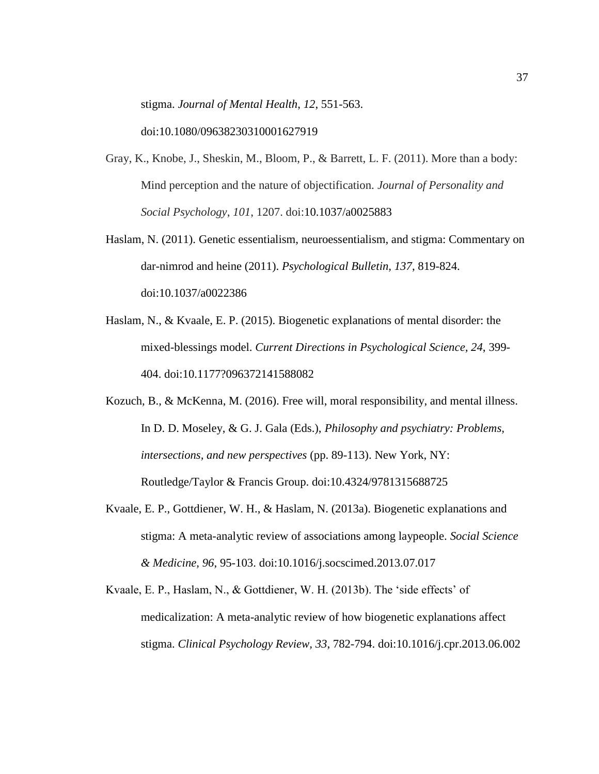stigma. *Journal of Mental Health*, *12*, 551-563.

doi:10.1080/09638230310001627919

- Gray, K., Knobe, J., Sheskin, M., Bloom, P., & Barrett, L. F. (2011). More than a body: Mind perception and the nature of objectification. *Journal of Personality and Social Psychology*, *101*, 1207. doi:10.1037/a0025883
- Haslam, N. (2011). Genetic essentialism, neuroessentialism, and stigma: Commentary on dar-nimrod and heine (2011). *Psychological Bulletin, 137*, 819-824. doi:10.1037/a0022386
- Haslam, N., & Kvaale, E. P. (2015). Biogenetic explanations of mental disorder: the mixed-blessings model. *Current Directions in Psychological Science, 24*, 399- 404. doi:10.1177?096372141588082
- Kozuch, B., & McKenna, M. (2016). Free will, moral responsibility, and mental illness. In D. D. Moseley, & G. J. Gala (Eds.), *Philosophy and psychiatry: Problems, intersections, and new perspectives* (pp. 89-113). New York, NY: Routledge/Taylor & Francis Group. doi:10.4324/9781315688725
- Kvaale, E. P., Gottdiener, W. H., & Haslam, N. (2013a). Biogenetic explanations and stigma: A meta-analytic review of associations among laypeople. *Social Science & Medicine, 96*, 95-103. doi:10.1016/j.socscimed.2013.07.017
- Kvaale, E. P., Haslam, N., & Gottdiener, W. H. (2013b). The 'side effects' of medicalization: A meta-analytic review of how biogenetic explanations affect stigma. *Clinical Psychology Review, 33*, 782-794. doi:10.1016/j.cpr.2013.06.002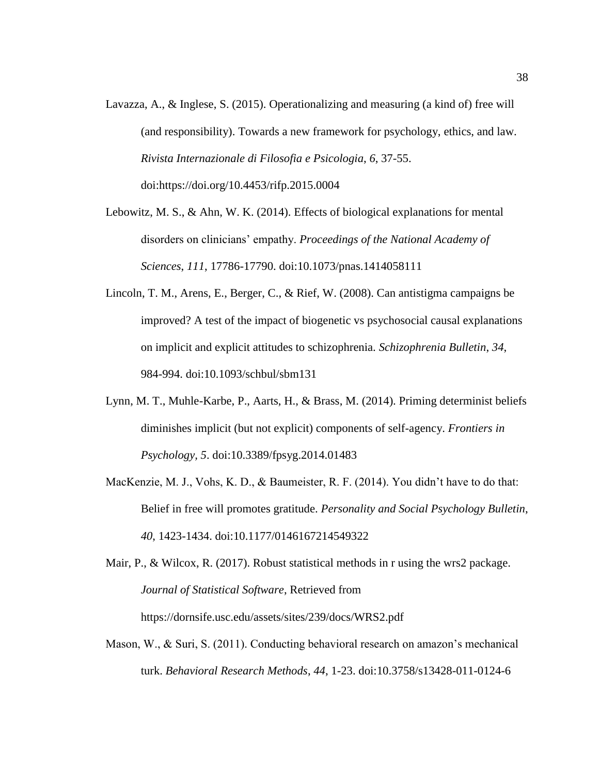- Lavazza, A., & Inglese, S. (2015). Operationalizing and measuring (a kind of) free will (and responsibility). Towards a new framework for psychology, ethics, and law. *Rivista Internazionale di Filosofia e Psicologia*, *6*, 37-55. doi:https://doi.org/10.4453/rifp.2015.0004
- Lebowitz, M. S., & Ahn, W. K. (2014). Effects of biological explanations for mental disorders on clinicians' empathy. *Proceedings of the National Academy of Sciences*, *111*, 17786-17790. doi:10.1073/pnas.1414058111
- Lincoln, T. M., Arens, E., Berger, C., & Rief, W. (2008). Can antistigma campaigns be improved? A test of the impact of biogenetic vs psychosocial causal explanations on implicit and explicit attitudes to schizophrenia. *Schizophrenia Bulletin*, *34*, 984-994. doi:10.1093/schbul/sbm131
- Lynn, M. T., Muhle-Karbe, P., Aarts, H., & Brass, M. (2014). Priming determinist beliefs diminishes implicit (but not explicit) components of self-agency. *Frontiers in Psychology, 5*. doi:10.3389/fpsyg.2014.01483
- MacKenzie, M. J., Vohs, K. D., & Baumeister, R. F. (2014). You didn't have to do that: Belief in free will promotes gratitude. *Personality and Social Psychology Bulletin*, *40*, 1423-1434. doi:10.1177/0146167214549322

Mair, P., & Wilcox, R. (2017). Robust statistical methods in r using the wrs2 package. *Journal of Statistical Software*, Retrieved from https://dornsife.usc.edu/assets/sites/239/docs/WRS2.pdf

Mason, W., & Suri, S. (2011). Conducting behavioral research on amazon's mechanical turk. *Behavioral Research Methods*, *44*, 1-23. doi:10.3758/s13428-011-0124-6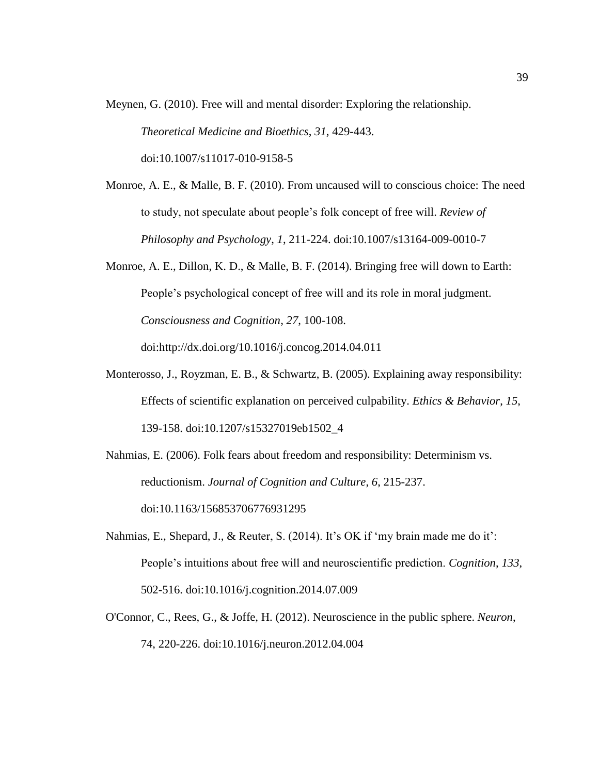Meynen, G. (2010). Free will and mental disorder: Exploring the relationship.

*Theoretical Medicine and Bioethics*, *31*, 429-443.

doi:10.1007/s11017-010-9158-5

- Monroe, A. E., & Malle, B. F. (2010). From uncaused will to conscious choice: The need to study, not speculate about people's folk concept of free will. *Review of Philosophy and Psychology*, *1*, 211-224. doi:10.1007/s13164-009-0010-7
- Monroe, A. E., Dillon, K. D., & Malle, B. F. (2014). Bringing free will down to Earth: People's psychological concept of free will and its role in moral judgment. *Consciousness and Cognition*, *27*, 100-108. doi:http://dx.doi.org/10.1016/j.concog.2014.04.011
- Monterosso, J., Royzman, E. B., & Schwartz, B. (2005). Explaining away responsibility: Effects of scientific explanation on perceived culpability. *Ethics & Behavior*, *15*, 139-158. doi:10.1207/s15327019eb1502\_4
- Nahmias, E. (2006). Folk fears about freedom and responsibility: Determinism vs. reductionism. *Journal of Cognition and Culture*, *6*, 215-237. doi:10.1163/156853706776931295
- Nahmias, E., Shepard, J., & Reuter, S. (2014). It's OK if 'my brain made me do it': People's intuitions about free will and neuroscientific prediction. *Cognition*, *133*, 502-516. doi:10.1016/j.cognition.2014.07.009
- O'Connor, C., Rees, G., & Joffe, H. (2012). Neuroscience in the public sphere. *Neuron*, 74, 220-226. doi:10.1016/j.neuron.2012.04.004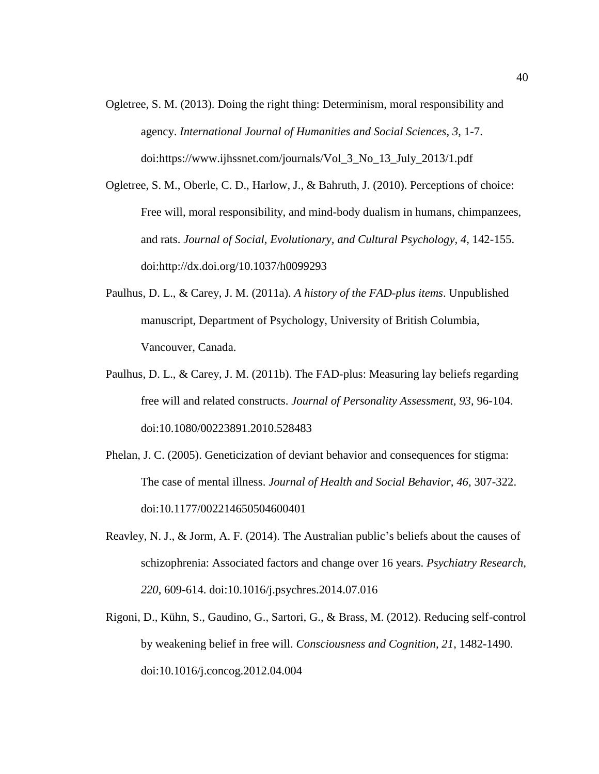- Ogletree, S. M. (2013). Doing the right thing: Determinism, moral responsibility and agency. *International Journal of Humanities and Social Sciences*, *3*, 1-7. doi:https://www.ijhssnet.com/journals/Vol\_3\_No\_13\_July\_2013/1.pdf
- Ogletree, S. M., Oberle, C. D., Harlow, J., & Bahruth, J. (2010). Perceptions of choice: Free will, moral responsibility, and mind-body dualism in humans, chimpanzees, and rats. *Journal of Social, Evolutionary, and Cultural Psychology, 4*, 142-155. doi:http://dx.doi.org/10.1037/h0099293
- Paulhus, D. L., & Carey, J. M. (2011a). *A history of the FAD-plus items*. Unpublished manuscript, Department of Psychology, University of British Columbia, Vancouver, Canada.
- Paulhus, D. L., & Carey, J. M. (2011b). The FAD-plus: Measuring lay beliefs regarding free will and related constructs. *Journal of Personality Assessment, 93*, 96-104. doi:10.1080/00223891.2010.528483
- Phelan, J. C. (2005). Geneticization of deviant behavior and consequences for stigma: The case of mental illness. *Journal of Health and Social Behavior, 46*, 307-322. doi:10.1177/002214650504600401
- Reavley, N. J., & Jorm, A. F. (2014). The Australian public's beliefs about the causes of schizophrenia: Associated factors and change over 16 years. *Psychiatry Research, 220*, 609-614. doi:10.1016/j.psychres.2014.07.016
- Rigoni, D., Kühn, S., Gaudino, G., Sartori, G., & Brass, M. (2012). Reducing self-control by weakening belief in free will. *Consciousness and Cognition, 21*, 1482-1490. doi:10.1016/j.concog.2012.04.004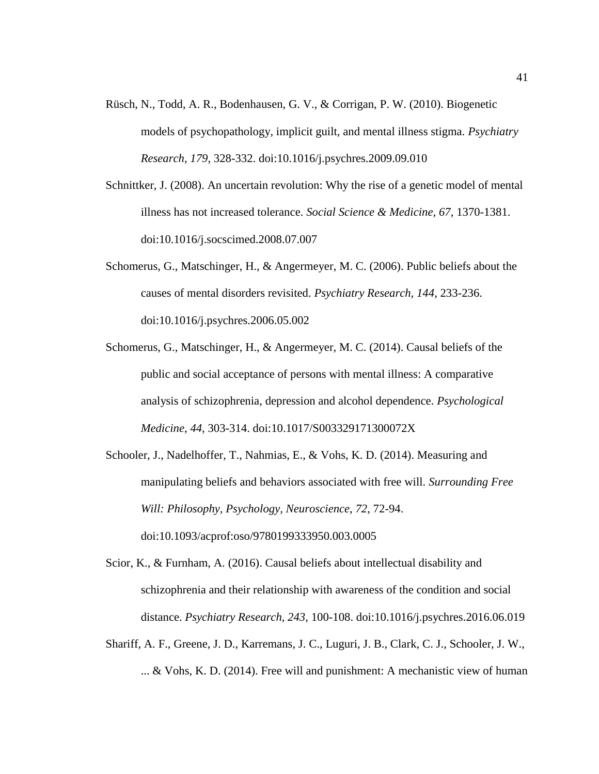- Rüsch, N., Todd, A. R., Bodenhausen, G. V., & Corrigan, P. W. (2010). Biogenetic models of psychopathology, implicit guilt, and mental illness stigma*. Psychiatry Research, 179*, 328-332. doi:10.1016/j.psychres.2009.09.010
- Schnittker, J. (2008). An uncertain revolution: Why the rise of a genetic model of mental illness has not increased tolerance. *Social Science & Medicine, 67*, 1370-1381. doi:10.1016/j.socscimed.2008.07.007
- Schomerus, G., Matschinger, H., & Angermeyer, M. C. (2006). Public beliefs about the causes of mental disorders revisited. *Psychiatry Research, 144*, 233-236. doi:10.1016/j.psychres.2006.05.002
- Schomerus, G., Matschinger, H., & Angermeyer, M. C. (2014). Causal beliefs of the public and social acceptance of persons with mental illness: A comparative analysis of schizophrenia, depression and alcohol dependence. *Psychological Medicine*, *44*, 303-314. doi:10.1017/S003329171300072X
- Schooler, J., Nadelhoffer, T., Nahmias, E., & Vohs, K. D. (2014). Measuring and manipulating beliefs and behaviors associated with free will. *Surrounding Free Will: Philosophy, Psychology, Neuroscience*, *72*, 72-94. doi:10.1093/acprof:oso/9780199333950.003.0005
- Scior, K., & Furnham, A. (2016). Causal beliefs about intellectual disability and schizophrenia and their relationship with awareness of the condition and social distance. *Psychiatry Research, 243*, 100-108. doi:10.1016/j.psychres.2016.06.019
- Shariff, A. F., Greene, J. D., Karremans, J. C., Luguri, J. B., Clark, C. J., Schooler, J. W., ... & Vohs, K. D. (2014). Free will and punishment: A mechanistic view of human